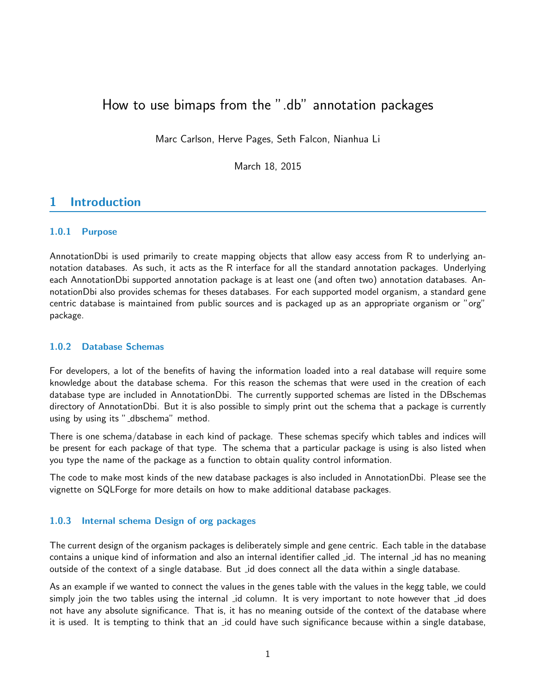# How to use bimaps from the ".db" annotation packages

Marc Carlson, Herve Pages, Seth Falcon, Nianhua Li

March 18, 2015

# 1 Introduction

# 1.0.1 Purpose

AnnotationDbi is used primarily to create mapping objects that allow easy access from R to underlying annotation databases. As such, it acts as the R interface for all the standard annotation packages. Underlying each AnnotationDbi supported annotation package is at least one (and often two) annotation databases. AnnotationDbi also provides schemas for theses databases. For each supported model organism, a standard gene centric database is maintained from public sources and is packaged up as an appropriate organism or "org" package.

# 1.0.2 Database Schemas

For developers, a lot of the benefits of having the information loaded into a real database will require some knowledge about the database schema. For this reason the schemas that were used in the creation of each database type are included in AnnotationDbi. The currently supported schemas are listed in the DBschemas directory of AnnotationDbi. But it is also possible to simply print out the schema that a package is currently using by using its "\_dbschema" method.

There is one schema/database in each kind of package. These schemas specify which tables and indices will be present for each package of that type. The schema that a particular package is using is also listed when you type the name of the package as a function to obtain quality control information.

The code to make most kinds of the new database packages is also included in AnnotationDbi. Please see the vignette on SQLForge for more details on how to make additional database packages.

# 1.0.3 Internal schema Design of org packages

The current design of the organism packages is deliberately simple and gene centric. Each table in the database contains a unique kind of information and also an internal identifier called id. The internal id has no meaning outside of the context of a single database. But \_id does connect all the data within a single database.

As an example if we wanted to connect the values in the genes table with the values in the kegg table, we could simply join the two tables using the internal *id column*. It is very important to note however that *id does* not have any absolute significance. That is, it has no meaning outside of the context of the database where it is used. It is tempting to think that an id could have such significance because within a single database,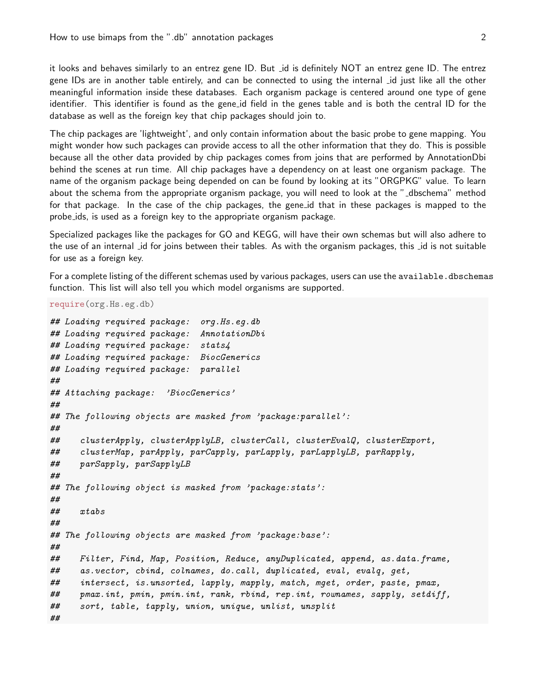it looks and behaves similarly to an entrez gene ID. But id is definitely NOT an entrez gene ID. The entrez gene IDs are in another table entirely, and can be connected to using the internal id just like all the other meaningful information inside these databases. Each organism package is centered around one type of gene identifier. This identifier is found as the gene id field in the genes table and is both the central ID for the database as well as the foreign key that chip packages should join to.

The chip packages are 'lightweight', and only contain information about the basic probe to gene mapping. You might wonder how such packages can provide access to all the other information that they do. This is possible because all the other data provided by chip packages comes from joins that are performed by AnnotationDbi behind the scenes at run time. All chip packages have a dependency on at least one organism package. The name of the organism package being depended on can be found by looking at its "ORGPKG" value. To learn about the schema from the appropriate organism package, you will need to look at the "\_dbschema" method for that package. In the case of the chip packages, the gene id that in these packages is mapped to the probe ids, is used as a foreign key to the appropriate organism package.

Specialized packages like the packages for GO and KEGG, will have their own schemas but will also adhere to the use of an internal *id for joins between their tables.* As with the organism packages, this *id is not suitable* for use as a foreign key.

For a complete listing of the different schemas used by various packages, users can use the available.dbschemas function. This list will also tell you which model organisms are supported.

require(org.Hs.eg.db)

```
## Loading required package: org.Hs.eg.db
## Loading required package: AnnotationDbi
## Loading required package: stats4
## Loading required package: BiocGenerics
## Loading required package: parallel
##
## Attaching package: 'BiocGenerics'
##
## The following objects are masked from 'package:parallel':
##
## clusterApply, clusterApplyLB, clusterCall, clusterEvalQ, clusterExport,
## clusterMap, parApply, parCapply, parLapply, parLapplyLB, parRapply,
## parSapply, parSapplyLB
##
## The following object is masked from 'package:stats':
##
## xtabs
##
## The following objects are masked from 'package:base':
##
## Filter, Find, Map, Position, Reduce, anyDuplicated, append, as.data.frame,
## as.vector, cbind, colnames, do.call, duplicated, eval, evalq, get,
## intersect, is.unsorted, lapply, mapply, match, mget, order, paste, pmax,
## pmax.int, pmin, pmin.int, rank, rbind, rep.int, rownames, sapply, setdiff,
## sort, table, tapply, union, unique, unlist, unsplit
##
```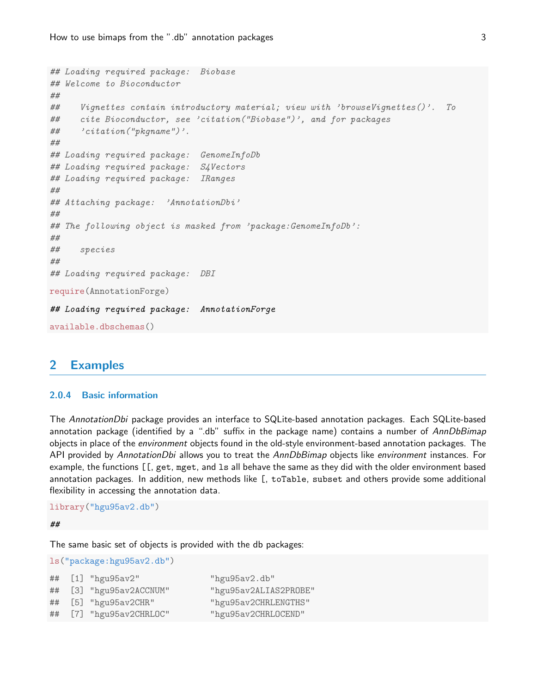```
## Loading required package: Biobase
## Welcome to Bioconductor
##
## Vignettes contain introductory material; view with 'browseVignettes()'. To
## cite Bioconductor, see 'citation("Biobase")', and for packages
## 'citation("pkgname")'.
##
## Loading required package: GenomeInfoDb
## Loading required package: S4Vectors
## Loading required package: IRanges
##
## Attaching package: 'AnnotationDbi'
##
## The following object is masked from 'package: GenomeInfoDb':
##
## species
##
## Loading required package: DBI
require(AnnotationForge)
## Loading required package: AnnotationForge
available.dbschemas()
```
# 2 Examples

### 2.0.4 Basic information

The AnnotationDbi package provides an interface to SQLite-based annotation packages. Each SQLite-based annotation package (identified by a ".db" suffix in the package name) contains a number of AnnDbBimap objects in place of the environment objects found in the old-style environment-based annotation packages. The API provided by AnnotationDbi allows you to treat the AnnDbBimap objects like environment instances. For example, the functions [[, get, mget, and ls all behave the same as they did with the older environment based annotation packages. In addition, new methods like [, toTable, subset and others provide some additional flexibility in accessing the annotation data.

```
library("hgu95av2.db")
```
##

The same basic set of objects is provided with the db packages:

ls("package:hgu95av2.db")

|  | ## [1] "hgu95av2"       | "hgu95av2.db"         |
|--|-------------------------|-----------------------|
|  | ## [3] "hgu95av2ACCNUM" | "hgu95av2ALIAS2PROBE" |
|  | ## [5] "hgu95av2CHR"    | "hgu95av2CHRLENGTHS"  |
|  | ## [7] "hgu95av2CHRLOC" | "hgu95av2CHRLOCEND"   |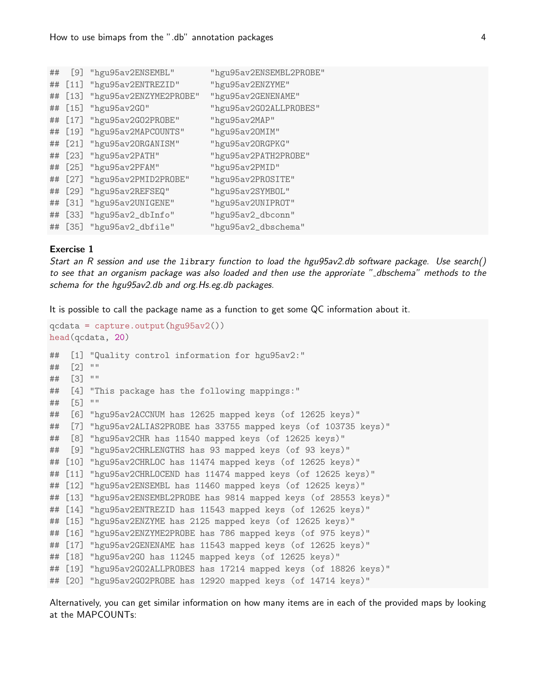| ## | [9]    | "hgu95av2ENSEMBL"      | "hgu95av2ENSEMBL2PROBE" |
|----|--------|------------------------|-------------------------|
| ## | $[11]$ | "hgu95av2ENTREZID"     | "hgu95av2ENZYME"        |
| ## | $[13]$ | "hgu95av2ENZYME2PROBE" | "hgu95av2GENENAME"      |
| ## | $[15]$ | "hgu95av2G0"           | "hgu95av2G02ALLPROBES"  |
| ## | $[17]$ | "hgu95av2G02PR0BE"     | "hgu95av2MAP"           |
| ## | $[19]$ | "hgu95av2MAPCOUNTS"    | "hgu95av20MIM"          |
| ## | $[21]$ | "hgu95av20RGANISM"     | "hgu95av20RGPKG"        |
| ## | $[23]$ | "hgu95av2PATH"         | "hgu95av2PATH2PROBE"    |
| ## | $[25]$ | "hgu95av2PFAM"         | "hgu95av2PMID"          |
| ## | $[27]$ | "hgu95av2PMID2PROBE"   | "hgu95av2PR0SITE"       |
| ## | $[29]$ | "hgu95av2REFSEQ"       | "hgu95av2SYMBOL"        |
| ## | $[31]$ | "hgu95av2UNIGENE"      | "hgu95av2UNIPROT"       |
| ## | $[33]$ | "hgu95av2_dbInfo"      | "hgu95av2_dbconn"       |
| ## | $[35]$ | "hgu95av2_dbfile"      | "hgu95av2_dbschema"     |

### Exercise 1

Start an R session and use the library function to load the hgu95av2.db software package. Use search() to see that an organism package was also loaded and then use the approriate "\_dbschema" methods to the schema for the hgu95av2.db and org.Hs.eg.db packages.

It is possible to call the package name as a function to get some QC information about it.

```
qcdata = capture.output(hgu95av2())
head(qcdata, 20)
## [1] "Quality control information for hgu95av2:"
## [2] ""
## [3] ""
## [4] "This package has the following mappings:"
## [5] ""
## [6] "hgu95av2ACCNUM has 12625 mapped keys (of 12625 keys)"
## [7] "hgu95av2ALIAS2PROBE has 33755 mapped keys (of 103735 keys)"
## [8] "hgu95av2CHR has 11540 mapped keys (of 12625 keys)"
## [9] "hgu95av2CHRLENGTHS has 93 mapped keys (of 93 keys)"
## [10] "hgu95av2CHRLOC has 11474 mapped keys (of 12625 keys)"
## [11] "hgu95av2CHRLOCEND has 11474 mapped keys (of 12625 keys)"
## [12] "hgu95av2ENSEMBL has 11460 mapped keys (of 12625 keys)"
## [13] "hgu95av2ENSEMBL2PROBE has 9814 mapped keys (of 28553 keys)"
## [14] "hgu95av2ENTREZID has 11543 mapped keys (of 12625 keys)"
## [15] "hgu95av2ENZYME has 2125 mapped keys (of 12625 keys)"
## [16] "hgu95av2ENZYME2PROBE has 786 mapped keys (of 975 keys)"
## [17] "hgu95av2GENENAME has 11543 mapped keys (of 12625 keys)"
## [18] "hgu95av2GO has 11245 mapped keys (of 12625 keys)"
## [19] "hgu95av2GO2ALLPROBES has 17214 mapped keys (of 18826 keys)"
## [20] "hgu95av2GO2PROBE has 12920 mapped keys (of 14714 keys)"
```
Alternatively, you can get similar information on how many items are in each of the provided maps by looking at the MAPCOUNTs: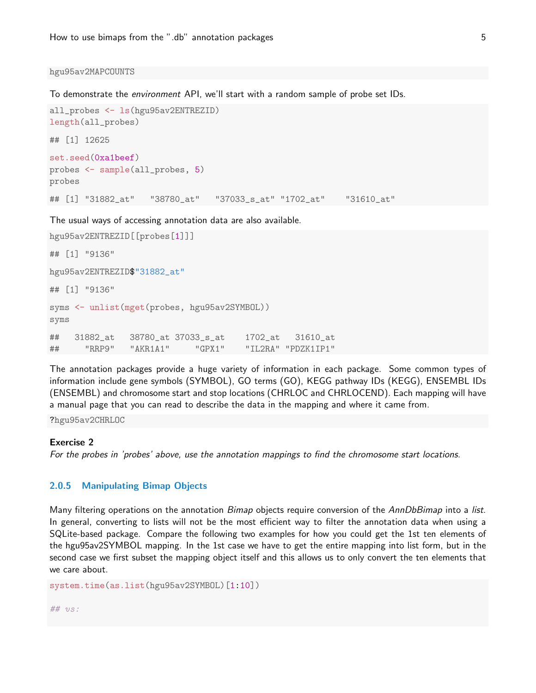#### hgu95av2MAPCOUNTS

To demonstrate the environment API, we'll start with a random sample of probe set IDs.

```
all_probes <- ls(hgu95av2ENTREZID)
length(all_probes)
## [1] 12625
set.seed(0xa1beef)
probes <- sample(all_probes, 5)
probes
## [1] "31882_at" "38780_at" "37033_s_at" "1702_at" "31610_at"
```
The usual ways of accessing annotation data are also available.

```
hgu95av2ENTREZID[[probes[1]]]
## [1] "9136"
hgu95av2ENTREZID$"31882_at"
## [1] "9136"
syms <- unlist(mget(probes, hgu95av2SYMBOL))
syms
## 31882_at 38780_at 37033_s_at 1702_at 31610_at
## "RRP9" "AKR1A1" "GPX1" "IL2RA" "PDZK1IP1"
```
The annotation packages provide a huge variety of information in each package. Some common types of information include gene symbols (SYMBOL), GO terms (GO), KEGG pathway IDs (KEGG), ENSEMBL IDs (ENSEMBL) and chromosome start and stop locations (CHRLOC and CHRLOCEND). Each mapping will have a manual page that you can read to describe the data in the mapping and where it came from.

?hgu95av2CHRLOC

# Exercise 2

For the probes in 'probes' above, use the annotation mappings to find the chromosome start locations.

# 2.0.5 Manipulating Bimap Objects

Many filtering operations on the annotation Bimap objects require conversion of the AnnDbBimap into a list. In general, converting to lists will not be the most efficient way to filter the annotation data when using a SQLite-based package. Compare the following two examples for how you could get the 1st ten elements of the hgu95av2SYMBOL mapping. In the 1st case we have to get the entire mapping into list form, but in the second case we first subset the mapping object itself and this allows us to only convert the ten elements that we care about.

```
system.time(as.list(hgu95av2SYMBOL)[1:10])
```
## vs: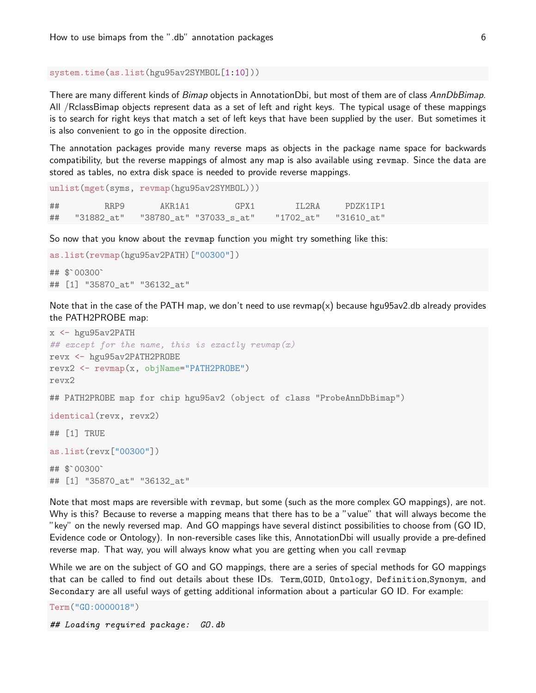### system.time(as.list(hgu95av2SYMBOL[1:10]))

There are many different kinds of Bimap objects in AnnotationDbi, but most of them are of class AnnDbBimap. All /RclassBimap objects represent data as a set of left and right keys. The typical usage of these mappings is to search for right keys that match a set of left keys that have been supplied by the user. But sometimes it is also convenient to go in the opposite direction.

The annotation packages provide many reverse maps as objects in the package name space for backwards compatibility, but the reverse mappings of almost any map is also available using revmap. Since the data are stored as tables, no extra disk space is needed to provide reverse mappings.

```
unlist(mget(syms, revmap(hgu95av2SYMBOL)))
## RRP9 AKR1A1 GPX1 IL2RA PDZK1IP1
## "31882_at" "38780_at" "37033_s_at" "1702_at" "31610_at"
```
So now that you know about the revmap function you might try something like this:

```
as.list(revmap(hgu95av2PATH)["00300"])
## $`00300`
```
## [1] "35870\_at" "36132\_at"

Note that in the case of the PATH map, we don't need to use revmap(x) because hgu95av2.db already provides the PATH2PROBE map:

```
x \leftarrow hgu95av2PATH
# except for the name, this is exactly revmap(x)revx <- hgu95av2PATH2PROBE
revx2 <- revmap(x, objName="PATH2PROBE")
revx2
## PATH2PROBE map for chip hgu95av2 (object of class "ProbeAnnDbBimap")
identical(revx, revx2)
## [1] TRUE
as.list(revx["00300"])
## $`00300`
## [1] "35870_at" "36132_at"
```
Note that most maps are reversible with revmap, but some (such as the more complex GO mappings), are not. Why is this? Because to reverse a mapping means that there has to be a "value" that will always become the "key" on the newly reversed map. And GO mappings have several distinct possibilities to choose from (GO ID, Evidence code or Ontology). In non-reversible cases like this, AnnotationDbi will usually provide a pre-defined reverse map. That way, you will always know what you are getting when you call revmap

While we are on the subject of GO and GO mappings, there are a series of special methods for GO mappings that can be called to find out details about these IDs. Term,GOID, Ontology, Definition,Synonym, and Secondary are all useful ways of getting additional information about a particular GO ID. For example:

Term("GO:0000018")

```
## Loading required package: GO.db
```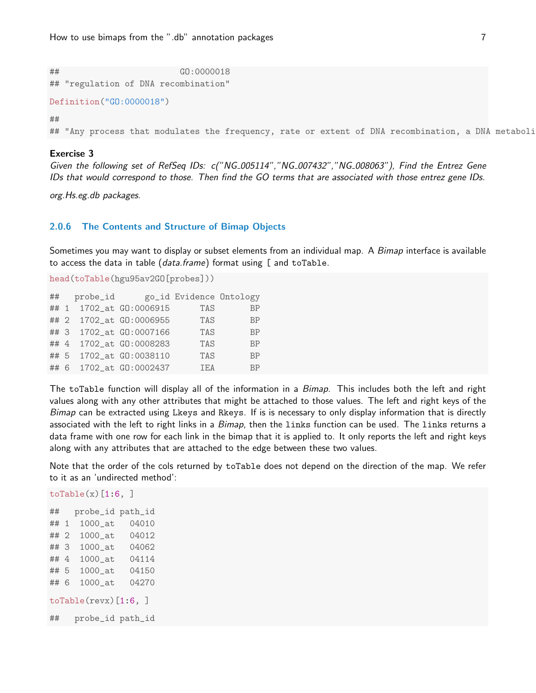## GO:0000018 ## "regulation of DNA recombination"

```
Definition("GO:0000018")
```
 $\# \#$ 

## "Any process that modulates the frequency, rate or extent of DNA recombination, a DNA metaboli

# Exercise 3

Given the following set of RefSeq IDs: c("NG\_005114","NG\_007432","NG\_008063"), Find the Entrez Gene IDs that would correspond to those. Then find the GO terms that are associated with those entrez gene IDs.

org.Hs.eg.db packages.

#### 2.0.6 The Contents and Structure of Bimap Objects

Sometimes you may want to display or subset elements from an individual map. A Bimap interface is available to access the data in table (data.frame) format using [ and toTable.

```
head(toTable(hgu95av2GO[probes]))
```

|  | ## probe_id |                         | go_id Evidence Ontology |           |
|--|-------------|-------------------------|-------------------------|-----------|
|  |             | ## 1 1702_at G0:0006915 | TAS                     | <b>BP</b> |
|  |             | ## 2 1702_at GD:0006955 | TAS                     | <b>BP</b> |
|  |             | ## 3 1702_at G0:0007166 | TAS                     | <b>BP</b> |
|  |             | ## 4 1702_at GO:0008283 | TAS                     | <b>BP</b> |
|  |             | ## 5 1702_at GO:0038110 | TAS                     | <b>BP</b> |
|  |             | ## 6 1702_at G0:0002437 | TEA                     | <b>RP</b> |

The toTable function will display all of the information in a Bimap. This includes both the left and right values along with any other attributes that might be attached to those values. The left and right keys of the Bimap can be extracted using Lkeys and Rkeys. If is is necessary to only display information that is directly associated with the left to right links in a Bimap, then the links function can be used. The links returns a data frame with one row for each link in the bimap that it is applied to. It only reports the left and right keys along with any attributes that are attached to the edge between these two values.

Note that the order of the cols returned by toTable does not depend on the direction of the map. We refer to it as an 'undirected method':

## probe\_id path\_id ## 1 1000\_at 04010 ## 2 1000\_at 04012 ## 3 1000\_at 04062 ## 4 1000\_at 04114 ## 5 1000\_at 04150 ## 6 1000\_at 04270  $toTable(revx)[1:6, ]$ ## probe\_id path\_id

 $toTable(x)[1:6, ]$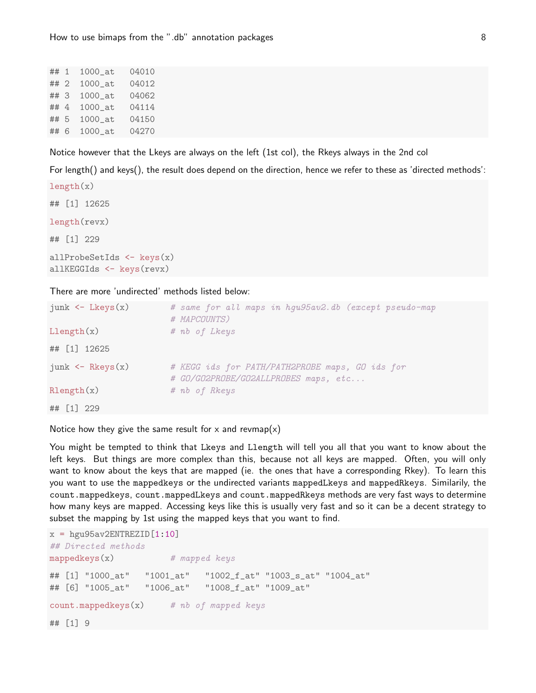| ## 1 | $1000$ _at | 04010 |
|------|------------|-------|
| ## 2 | $1000$ _at | 04012 |
| ## 3 | $1000$ _at | 04062 |
| ## 4 | $1000$ _at | 04114 |
| ## 5 | $1000$ _at | 04150 |
| ## 6 | $1000$ _at | 04270 |

Notice however that the Lkeys are always on the left (1st col), the Rkeys always in the 2nd col

For length() and keys(), the result does depend on the direction, hence we refer to these as 'directed methods':

```
length(x)## [1] 12625
length(revx)
## [1] 229
allProbeSetIds \leftarrow keys(x)allKEGGIds <- keys(revx)
```
There are more 'undirected' methods listed below:

| $junk \leftarrow Lkeys(x)$ | # same for all maps in hgu95av2.db (except pseudo-map<br># MAPCOUNTS)                   |  |
|----------------------------|-----------------------------------------------------------------------------------------|--|
| Llength(x)                 | # nb of Lkeys                                                                           |  |
| ## [1] 12625               |                                                                                         |  |
| $junk \leftarrow Rkeys(x)$ | # KEGG ids for PATH/PATH2PROBE maps, GO ids for<br># GO/GO2PROBE/GO2ALLPROBES maps, etc |  |
| $\text{Rlength}(x)$        | # nb of Rkeys                                                                           |  |
| ## [1] 229                 |                                                                                         |  |

Notice how they give the same result for x and revmap(x)

You might be tempted to think that Lkeys and Llength will tell you all that you want to know about the left keys. But things are more complex than this, because not all keys are mapped. Often, you will only want to know about the keys that are mapped (ie. the ones that have a corresponding Rkey). To learn this you want to use the mappedkeys or the undirected variants mappedLkeys and mappedRkeys. Similarily, the count.mappedkeys, count.mappedLkeys and count.mappedRkeys methods are very fast ways to determine how many keys are mapped. Accessing keys like this is usually very fast and so it can be a decent strategy to subset the mapping by 1st using the mapped keys that you want to find.

```
x = hgu95av2ENTREZID[1:10]## Directed methods
mappedkeys(x) # mapped keys
## [1] "1000_at" "1001_at" "1002_f_at" "1003_s_at" "1004_at"
## [6] "1005_at" "1006_at" "1008_f_at" "1009_at"
count.\texttt{mappedkeys}(x) # nb of mapped keys
## [1] 9
```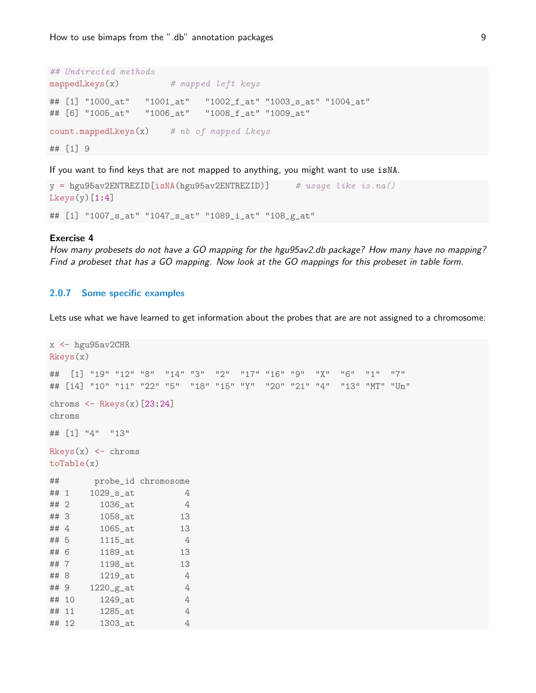```
## Undirected methods
mappedLkeys(x) # mapped left keys
## [1] "1000_at" "1001_at" "1002_f_at" "1003_s_at" "1004_at"
## [6] "1005_at" "1006_at" "1008_f_at" "1009_at"
count.mappedLkeys(x) # nb of mapped Lkeys
## [1] 9
```
If you want to find keys that are not mapped to anything, you might want to use isNA.

```
y = hgu95av2ENTREZID[isNA(hgu95av2ENTREZID)] # usage like is.na()
Lkeys(y)[1:4]## [1] "1007_s_at" "1047_s_at" "1089_i_at" "108_g_at"
```
#### Exercise 4

How many probesets do not have a GO mapping for the hgu95av2.db package? How many have no mapping? Find a probeset that has a GO mapping. Now look at the GO mappings for this probeset in table form.

# 2.0.7 Some specific examples

Lets use what we have learned to get information about the probes that are are not assigned to a chromosome:

```
x \leftarrow hgu95av2CHR
Rkeys(x)
## [1] "19" "12" "8" "14" "3" "2" "17" "16" "9" "X" "6" "1" "7"
## [14] "10" "11" "22" "5" "18" "15" "Y" "20" "21" "4" "13" "MT" "Un"
chroms \leq Rkeys(x)[23:24]
chroms
## [1] "4" "13"
Rkeys(x) \leftarrow chromstoTable(x)
## probe_id chromosome
## 1 1029_s_at 4
## 2 1036_at 4
## 3 1058_at 13
## 4 1065_at 13
## 5 1115_at 4
## 6 1189_at 13
## 7 1198_at 13
## 8 1219_at 4
\# 4 \frac{9}{220 \text{ g} \cdot \text{at}} 4
## 10 1249_at 4
## 11 1285_at 4
## 12 1303_at 4
```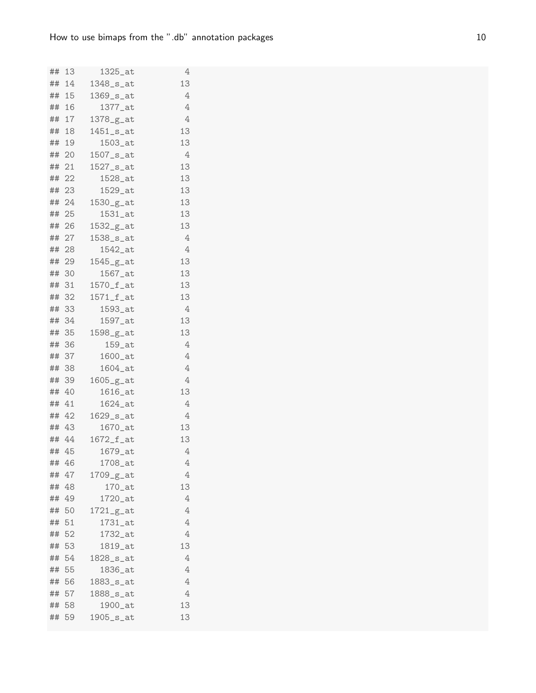| ##       | -13         | 1325_at                                           | 4       |
|----------|-------------|---------------------------------------------------|---------|
|          | ## 14       | 1348_s_at                                         | 13      |
|          | ## 15       | $1369$ <sub>-S</sub> _at                          | 4       |
| ## 16    |             | $1377$ _at                                        | 4       |
| ## 17    |             | 1378_g_at                                         | 4       |
| ## 18    |             | $1451$ _s_at                                      | 13      |
|          | ## 19       | $1503$ <sub>-at</sub>                             | 13      |
|          | ## 20       | $1507$ <sub>-<math>s</math>-at</sub>              | 4       |
|          | ## 21       | 1527_s_at                                         | 13      |
|          | ## 22       | 1528_at                                           | 13      |
|          | ## 23       | $1529$ _at                                        | 13      |
|          | ## 24       | $1530-g-at$                                       | 13      |
| ##       | 25          | 1531_at                                           | 13      |
|          | ## 26       | $1532-g-at$                                       | 13      |
|          | ## 27       | $1538$ <sub>-<math>s</math>-at</sub>              | 4       |
|          | ## 28       | $1542$ _at                                        | 4       |
|          | ## 29       | 1545_g_at                                         | 13      |
|          | ## 30       | $1567$ <sub>-at</sub>                             | 13      |
| ## 31    |             | $1570$ _ $f$ _at                                  | 13      |
|          | ## 32       | $1571$ _f_at                                      | 13      |
|          | ## 33       | 1593_at                                           | 4       |
|          | ## 34       | 1597_at                                           | 13      |
| ## 35    |             | $1598-g-at$                                       | 13      |
|          | ## 36       | $159$ _at                                         | 4       |
|          | ## 37       | $1600$ _at                                        | $\rm 4$ |
| ## 38    |             | $1604$ _at                                        | 4       |
| ## 39    |             | $1605-g_{at}$                                     | 4       |
| ##       | 40          | 1616_at                                           | 13      |
| ## 41    |             | $1624$ _at                                        | 4       |
|          | ## 42       | $1629$ _s_at                                      | 4       |
|          | ## 43       | $1670$ _at                                        | 13      |
|          | ## 44       | $1672_f$ <sub>_at</sub>                           | 13      |
| ##       | 45          | 1679_at                                           | 4       |
| ##<br>## | 46<br>47    | 1708_at                                           | 4<br>4  |
|          |             | $1709-g-at$                                       | 13      |
| ##       | 48<br>## 49 | $170$ _at<br>1720_at                              |         |
|          | ## 50       |                                                   | 4<br>4  |
| ##       | 51          | $1721-g$ <sub>-</sub> at<br>$1731$ <sub>-at</sub> | 4       |
| ##       | 52          | 1732_at                                           | 4       |
| ##       | 53          | 1819_at                                           | 13      |
|          | ## 54       | 1828_s_at                                         | 4       |
| ##       | 55          | 1836_at                                           | 4       |
| ##       | 56          | 1883_s_at                                         | 4       |
| ##       | 57          | 1888_s_at                                         | 4       |
| ## 58    |             | 1900_at                                           | 13      |
| ##       | 59          | $1905$ _s_at                                      | 13      |
|          |             |                                                   |         |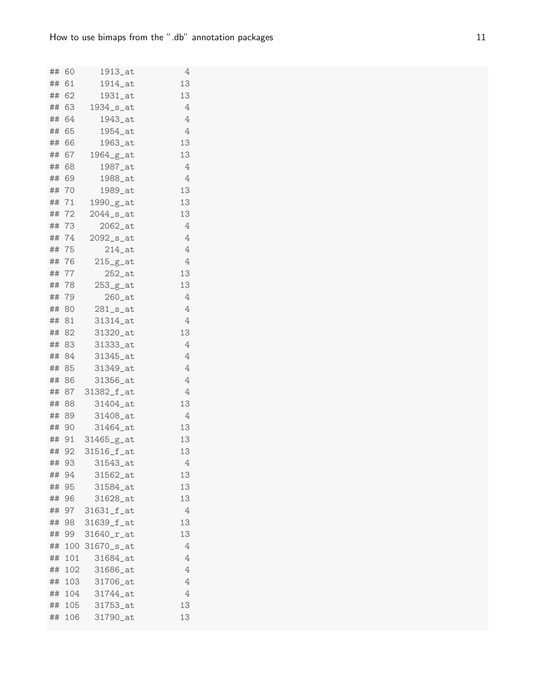| ##       | 60       | 1913_at                              | 4       |
|----------|----------|--------------------------------------|---------|
| ##       | 61       | $1914$ <sub>-at</sub>                | 13      |
|          | ## 62    | $1931$ <sub>_at</sub>                | 13      |
|          | ## 63    | $1934$ <sub>-<math>s</math>-at</sub> | 4       |
| ##       | 64       | 1943_at                              | 4       |
| ##       | 65       | 1954_at                              | 4       |
|          | ## 66    | 1963_at                              | 13      |
|          | ## 67    | $1964-g-at$                          | 13      |
| ##       | 68       | 1987_at                              | 4       |
|          | ## 69    | 1988_at                              | 4       |
|          | ## 70    | 1989_at                              | 13      |
|          | ## 71    | $1990-g-at$                          | 13      |
| ##       | 72       | $2044$ <sub>-S</sub> _at             | 13      |
|          | ## 73    | $2062$ _at                           | 4       |
|          | ## 74    | $2092$ <sub>-<math>s</math>-at</sub> | 4       |
|          | ## 75    | $214$ _at                            | 4       |
|          | ## 76    | $215-g$ <sub>-g</sub> at             | 4       |
|          | ## 77    | $252$ _at                            | 13      |
|          | ## 78    | $253-g-at$                           | 13      |
|          | ## 79    | $260$ _at                            | 4       |
|          | ## 80    | $281$ _s_at                          | 4       |
|          | ## 81    | 31314_at                             | 4       |
|          | ## 82    | 31320_at                             | 13      |
|          | ## 83    | 31333_at                             | 4       |
|          | ## 84    | 31345_at                             | 4       |
|          | ## 85    | 31349_at                             | 4       |
|          | ## 86    | 31356_at                             | 4       |
| ##       |          | 87 31382_f_at                        | 4       |
|          | ## 88    | 31404_at                             | 13      |
|          | ## 89    | 31408_at                             | 4       |
|          | ## 90    | 31464_at                             | 13      |
|          |          | ## 91 31465_g_at                     | 13      |
| ##       | 92       | 31516_f_at                           | 13      |
| ##<br>## | 93<br>94 | 31543_at<br>31562_at                 | 4<br>13 |
|          | 95       | 31584_at                             | 13      |
| ##<br>## | 96       | 31628_at                             | 13      |
| ##       | 97       | 31631_f_at                           | 4       |
| ##       | 98       | 31639_f_at                           | 13      |
| ##       | 99       | 31640_r_at                           | 13      |
| ##       | 100      | 31670_s_at                           | 4       |
| ##       | 101      | 31684_at                             | 4       |
| ##       | 102      | 31686_at                             | 4       |
| ##       | 103      | 31706_at                             | 4       |
| ##       | 104      | 31744_at                             | 4       |
| ##       | 105      | 31753_at                             | 13      |
| ##       | 106      | 31790_at                             | 13      |
|          |          |                                      |         |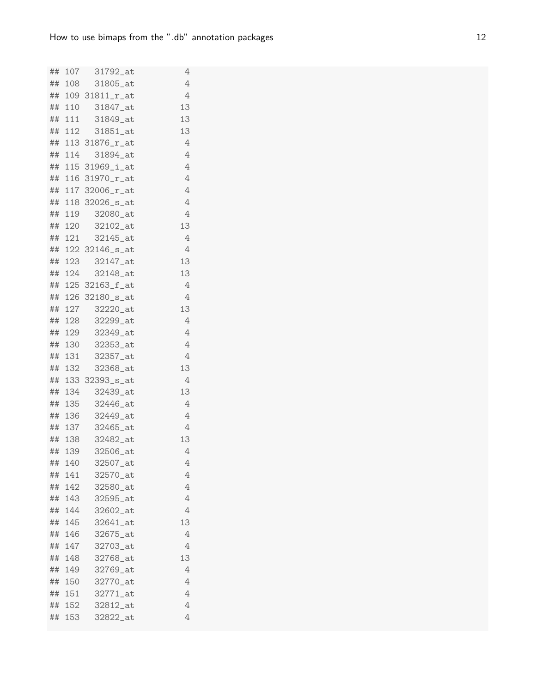|    |        | ## 107 31792_at                    | 4       |
|----|--------|------------------------------------|---------|
|    |        | ## 108 31805_at                    | 4       |
|    |        | ## 109 31811_r_at                  | 4       |
|    |        | ## 110 31847_at                    | 13      |
|    |        | ## 111 31849_at                    | 13      |
|    | ## 112 | 31851_at                           | 13      |
|    |        | ## 113 31876_r_at                  | 4       |
|    | ## 114 | 31894_at                           | 4       |
|    |        | ## 115 31969_i_at                  | 4       |
|    |        | ## 116 31970_r_at                  | $\rm 4$ |
|    |        | ## 117 32006_r_at                  | 4       |
|    |        | ## 118 32026_s_at                  | 4       |
|    |        | ## 119 32080_at                    | 4       |
|    | ## 120 | 32102_at                           | 13      |
|    | ## 121 | 32145_at                           | 4       |
|    |        | ## 122 32146_s_at                  | 4       |
|    |        | ## 123 32147_at                    | 13      |
|    | ## 124 | 32148_at                           | 13      |
|    |        | ## 125 32163_f_at                  | 4       |
|    |        | ## 126 32180_s_at                  | 4       |
|    |        | ## 127 32220_at                    | 13      |
| ## | 128    | 32299_at                           | 4       |
|    |        | ## 129 32349_at                    | 4       |
|    |        | ## 130 32353_at                    | 4       |
|    |        | ## 131 32357_at                    | 4       |
|    | ## 132 | 32368_at                           | 13      |
|    |        | ## 133 32393_s_at                  | 4       |
|    |        | ## 134 32439_at                    | 13      |
|    |        | ## 135 32446_at                    | 4       |
|    | ## 136 | 32449_at                           | 4       |
|    |        | ## 137 32465_at                    | 4<br>13 |
|    |        | ## 138 32482_at<br>## 139 32506_at | 4       |
| ## | 140    | 32507_at                           | 4       |
| ## | 141    | 32570_at                           | 4       |
| ## | 142    | 32580_at                           | 4       |
| ## | 143    | 32595_at                           | 4       |
| ## | 144    | 32602_at                           | 4       |
| ## | 145    | 32641_at                           | 13      |
| ## | 146    | 32675_at                           | 4       |
| ## | 147    | 32703_at                           | 4       |
| ## | 148    | 32768_at                           | 13      |
| ## | 149    | 32769_at                           | 4       |
| ## | 150    | 32770_at                           | 4       |
| ## | 151    | 32771_at                           | 4       |
| ## | 152    | 32812_at                           | 4       |
| ## | 153    | 32822_at                           | 4       |
|    |        |                                    |         |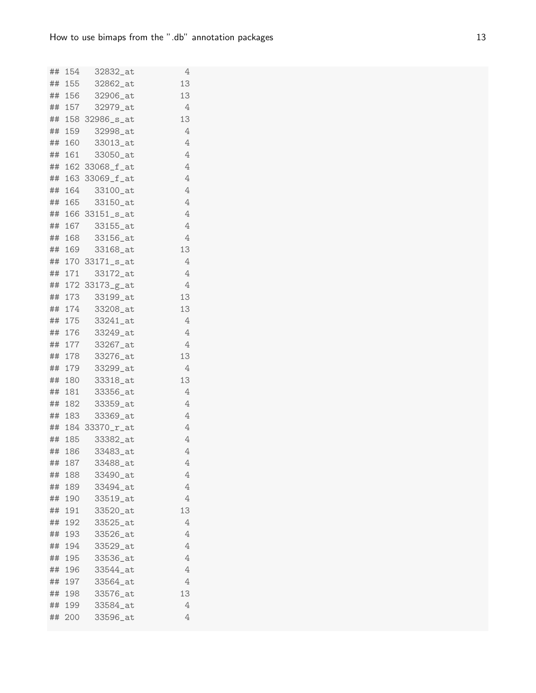|    |        | ## 154 32832_at   | 4                         |
|----|--------|-------------------|---------------------------|
|    |        | ## 155 32862_at   | 13                        |
|    | ## 156 | 32906_at          | 13                        |
|    |        | ## 157 32979_at   | 4                         |
|    |        | ## 158 32986_s_at | 13                        |
|    |        | ## 159 32998_at   | 4                         |
|    | ## 160 | 33013_at          | 4                         |
|    |        | ## 161 33050_at   | 4                         |
|    |        | ## 162 33068_f_at | 4                         |
|    |        | ## 163 33069_f_at | $\,4\,$                   |
|    | ## 164 | 33100_at          | 4                         |
|    |        | ## 165 33150_at   | $\ensuremath{\mathsf{4}}$ |
|    |        | ## 166 33151_s_at | 4                         |
|    |        | ## 167 33155_at   | 4                         |
|    | ## 168 | 33156_at          | 4                         |
|    |        | ## 169 33168_at   | 13                        |
|    |        | ## 170 33171_s_at | 4                         |
|    |        | ## 171 33172_at   | 4                         |
|    |        | ## 172 33173_g_at | 4                         |
|    |        | ## 173 33199_at   | 13                        |
|    |        | ## 174 33208_at   | 13                        |
|    |        | ## 175 33241_at   | 4                         |
|    |        | ## 176 33249_at   | 4                         |
|    |        | ## 177 33267_at   | 4                         |
|    |        | ## 178 33276_at   | 13                        |
|    | ## 179 | 33299_at          | 4                         |
|    |        | ## 180 33318_at   | 13                        |
|    |        | ## 181 33356_at   | 4                         |
|    |        | ## 182 33359_at   | 4                         |
|    | ## 183 | 33369_at          | 4                         |
|    |        | ## 184 33370_r_at | 4                         |
|    |        | ## 185 33382_at   | 4                         |
|    |        | ## 186 33483_at   | 4                         |
| ## | 187    | 33488_at          | 4                         |
| ## | 188    | 33490_at          | 4                         |
| ## | 189    | 33494_at          | 4                         |
| ## | 190    | 33519_at          | $\overline{4}$            |
| ## | 191    | 33520_at          | 13                        |
| ## | 192    | 33525_at          | 4                         |
| ## | 193    | 33526_at          | 4                         |
| ## | 194    | 33529_at          | 4                         |
| ## | 195    | 33536_at          | 4                         |
| ## | 196    | 33544_at          | 4                         |
| ## | 197    | 33564_at          | 4                         |
| ## | 198    | 33576_at          | 13                        |
|    | ## 199 | 33584_at          | 4                         |
| ## | 200    | 33596_at          | 4                         |
|    |        |                   |                           |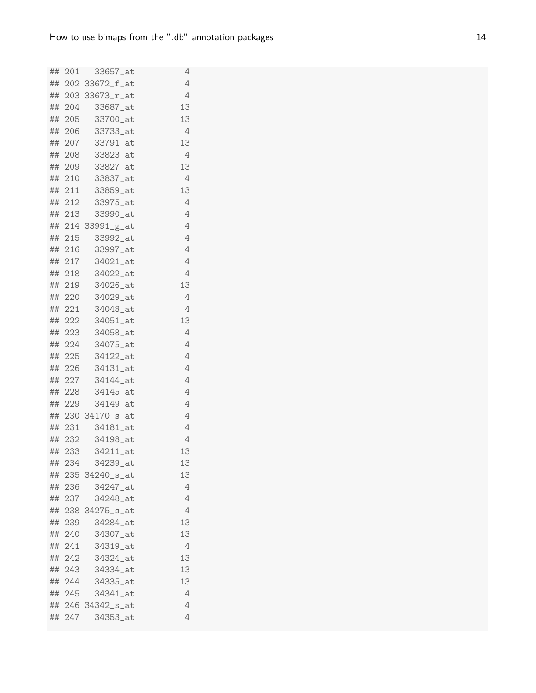|    |        | ## 201 33657_at   | 4              |
|----|--------|-------------------|----------------|
|    |        | ## 202 33672_f_at | $\overline{4}$ |
|    |        | ## 203 33673_r_at | 4              |
|    |        | ## 204 33687_at   | 13             |
|    |        | ## 205 33700_at   | 13             |
|    |        | ## 206 33733_at   | 4              |
|    |        | ## 207 33791_at   | 13             |
|    |        | ## 208 33823_at   | 4              |
|    |        | ## 209 33827_at   | 13             |
|    |        | ## 210 33837_at   | 4              |
|    |        | ## 211 33859_at   | 13             |
|    |        | ## 212 33975_at   | 4              |
|    |        | ## 213 33990_at   | $\overline{4}$ |
|    |        | ## 214 33991_g_at | $\overline{4}$ |
|    | ## 215 | 33992_at          | 4              |
|    |        | ## 216 33997_at   | 4              |
|    |        | ## 217 34021_at   | $\overline{4}$ |
|    | ## 218 | 34022_at          | 4              |
|    |        | ## 219 34026_at   | 13             |
|    |        | ## 220 34029_at   | 4              |
|    |        | ## 221 34048_at   | 4              |
|    | ## 222 | 34051_at          | 13             |
|    |        | ## 223 34058_at   | 4              |
|    |        | ## 224 34075_at   | 4              |
|    |        | ## 225 34122_at   | $\overline{4}$ |
|    | ## 226 | 34131_at          | 4              |
|    |        | ## 227 34144_at   | 4              |
|    |        | ## 228 34145_at   | 4              |
|    | ## 229 | 34149_at          | 4              |
|    |        | ## 230 34170_s_at | 4              |
|    |        | ## 231 34181_at   | 4              |
|    |        | ## 232 34198_at   | 4              |
|    |        | ## 233 34211_at   | 13             |
| ## | 234    | 34239_at          | 13             |
|    |        | ## 235 34240_s_at | 13             |
|    | ## 236 | 34247_at          | 4              |
|    | ## 237 | 34248_at          | 4              |
|    |        | ## 238 34275_s_at | 4              |
|    | ## 239 | 34284_at          | 13             |
|    | ## 240 | 34307_at          | 13             |
|    | ## 241 | 34319_at          | 4              |
|    | ## 242 | 34324_at          | 13             |
|    | ## 243 | 34334_at          | 13             |
|    |        | ## 244 34335_at   | 13             |
|    | ## 245 | 34341_at          | 4              |
|    |        | ## 246 34342_s_at | 4              |
|    | ## 247 | 34353_at          | 4              |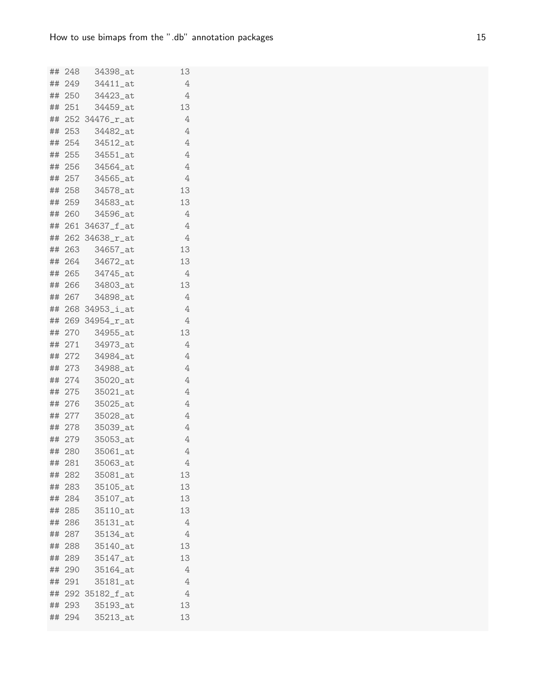|    |        | ## 248 34398_at   | 13 |
|----|--------|-------------------|----|
|    | ## 249 | 34411_at          | 4  |
|    | ## 250 | 34423_at          | 4  |
|    | ## 251 | 34459_at          | 13 |
|    |        | ## 252 34476_r_at | 4  |
|    | ## 253 | 34482_at          | 4  |
|    | ## 254 | 34512_at          | 4  |
|    | ## 255 | 34551_at          | 4  |
|    |        | ## 256 34564_at   | 4  |
|    | ## 257 | 34565_at          | 4  |
|    | ## 258 | 34578_at          | 13 |
|    | ## 259 | 34583_at          | 13 |
|    | ## 260 | 34596_at          | 4  |
|    |        | ## 261 34637_f_at | 4  |
|    |        | ## 262 34638_r_at | 4  |
|    |        | ## 263 34657_at   | 13 |
|    |        | ## 264 34672_at   | 13 |
|    | ## 265 | 34745_at          | 4  |
|    | ## 266 | 34803_at          | 13 |
|    |        | ## 267 34898_at   | 4  |
|    |        | ## 268 34953_i_at | 4  |
|    |        | ## 269 34954_r_at | 4  |
|    | ## 270 | 34955_at          | 13 |
|    |        | ## 271  34973_at  | 4  |
|    | ## 272 | 34984_at          | 4  |
|    | ## 273 | 34988_at          | 4  |
|    | ## 274 | 35020_at          | 4  |
|    | ## 275 | $35021$ at        | 4  |
|    | ## 276 | 35025_at          | 4  |
|    | ## 277 | 35028_at          | 4  |
|    | ## 278 | 35039_at          | 4  |
|    |        | ## 279 35053_at   | 4  |
|    | ## 280 | 35061_at          | 4  |
| ## | 281    | 35063_at          | 4  |
|    | ## 282 | 35081_at          | 13 |
|    | ## 283 | 35105_at          | 13 |
|    | ## 284 | 35107_at          | 13 |
|    | ## 285 | 35110_at          | 13 |
|    | ## 286 | 35131_at          | 4  |
|    | ## 287 | 35134_at          | 4  |
| ## | 288    | 35140_at          | 13 |
|    | ## 289 | 35147_at          | 13 |
|    | ## 290 | 35164_at          | 4  |
|    | ## 291 | 35181_at          | 4  |
|    |        | ## 292 35182_f_at | 4  |
|    | ## 293 | 35193_at          | 13 |
|    | ## 294 | 35213_at          | 13 |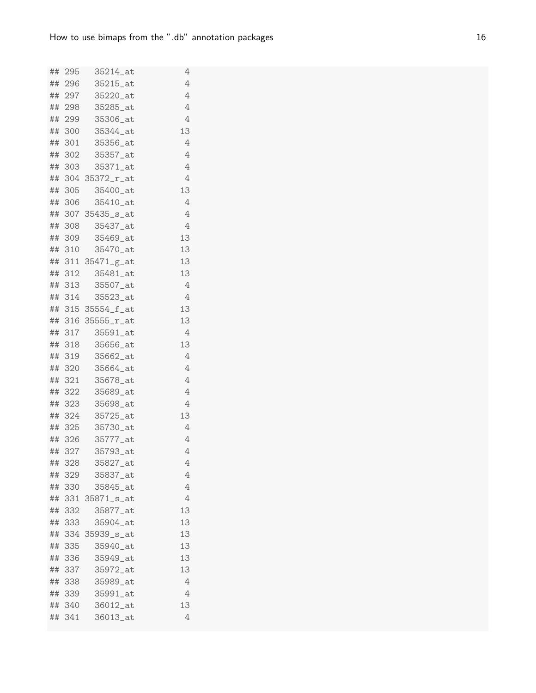|    |               | ## 295 35214_at      | 4      |
|----|---------------|----------------------|--------|
|    |               | ## 296 35215_at      | 4      |
|    | ## 297        | 35220_at             | 4      |
|    |               | ## 298 35285_at      | 4      |
|    |               | ## 299 35306_at      | 4      |
|    |               | ## 300 35344_at      | 13     |
|    |               | ## 301 35356_at      | 4      |
|    |               | ## 302 35357_at      | 4      |
|    |               | ## 303 35371_at      | 4      |
|    |               | ## 304 35372_r_at    | 4      |
|    | ## 305        | 35400_at             | 13     |
|    |               | ## 306 35410_at      | 4      |
|    |               | ## 307 35435_s_at    | 4      |
|    |               | ## 308 35437_at      | 4      |
|    | ## 309        | 35469_at             | 13     |
|    |               | ## 310 35470_at      | 13     |
|    |               | ## 311 35471_g_at    | 13     |
|    | ## 312        | 35481_at             | 13     |
|    | ## 313        | 35507_at             | 4      |
|    |               | ## 314 35523_at      | 4      |
|    |               | ## 315 35554_f_at    | 13     |
|    |               | ## 316 35555_r_at    | 13     |
|    |               | ## 317 35591_at      | 4      |
|    |               | ## 318 35656_at      | 13     |
|    |               | ## 319 35662_at      | 4      |
|    | ## 320        | 35664_at             | 4      |
|    |               | ## 321 35678_at      | 4      |
|    |               | ## 322 35689_at      | 4      |
|    |               | ## 323 35698_at      | 4      |
|    | ## 324        | 35725_at             | 13     |
|    |               | ## 325 35730_at      | 4      |
|    |               | ## 326 35777_at      | 4      |
|    |               | ## 327 35793_at      | 4      |
| ## | 328<br>## 329 | 35827_at<br>35837_at | 4<br>4 |
|    | ## 330        | 35845_at             | 4      |
|    |               | ## 331 35871_s_at    | 4      |
|    | ## 332        | 35877_at             | 13     |
|    | ## 333        | 35904_at             | 13     |
|    |               | ## 334 35939_s_at    | 13     |
|    | ## 335        | 35940_at             | 13     |
|    | ## 336        | 35949_at             | 13     |
|    | ## 337        | 35972_at             | 13     |
|    | ## 338        | 35989_at             | 4      |
|    | ## 339        | 35991_at             | 4      |
|    | ## 340        | 36012_at             | 13     |
|    | ## 341        | 36013_at             | 4      |
|    |               |                      |        |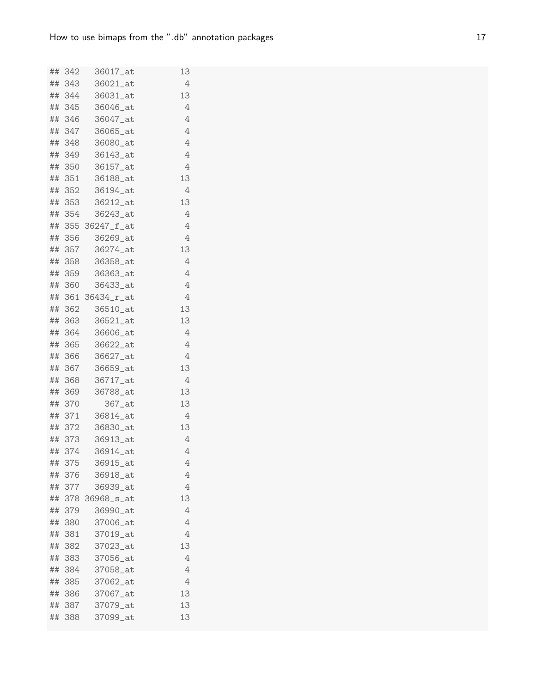|    |        | ## 342 36017_at   | 13 |
|----|--------|-------------------|----|
|    | ## 343 | 36021_at          | 4  |
|    | ## 344 | 36031_at          | 13 |
|    | ## 345 | 36046_at          | 4  |
|    | ## 346 | 36047_at          | 4  |
|    | ## 347 | 36065_at          | 4  |
|    | ## 348 | 36080_at          | 4  |
|    |        | ## 349 36143_at   | 4  |
|    |        | ## 350 36157_at   | 4  |
|    | ## 351 | 36188_at          | 13 |
|    | ## 352 | 36194_at          | 4  |
|    | ## 353 | 36212_at          | 13 |
|    | ## 354 | 36243_at          | 4  |
|    |        | ## 355 36247_f_at | 4  |
|    | ## 356 | 36269_at          | 4  |
|    | ## 357 | 36274_at          | 13 |
|    | ## 358 | 36358_at          | 4  |
|    | ## 359 | 36363_at          | 4  |
|    | ## 360 | 36433_at          | 4  |
|    |        | ## 361 36434_r_at | 4  |
|    | ## 362 | 36510_at          | 13 |
|    | ## 363 | 36521_at          | 13 |
|    | ## 364 | 36606_at          | 4  |
|    |        | ## 365 36622_at   | 4  |
|    | ## 366 | 36627_at          | 4  |
|    | ## 367 | 36659_at          | 13 |
|    | ## 368 | 36717_at          | 4  |
|    | ## 369 | 36788_at          | 13 |
|    | ## 370 | 367_at            | 13 |
|    | ## 371 | 36814_at          | 4  |
|    | ## 372 | 36830_at          | 13 |
|    |        | ## 373 36913_at   | 4  |
|    | ## 374 | 36914_at          | 4  |
| ## | 375    | 36915_at          | 4  |
|    | ## 376 | 36918_at          | 4  |
|    | ## 377 | 36939_at          | 4  |
|    |        | ## 378 36968_s_at | 13 |
|    | ## 379 | 36990_at          | 4  |
|    | ## 380 | 37006_at          | 4  |
| ## | 381    | 37019_at          | 4  |
| ## | 382    | 37023_at          | 13 |
|    | ## 383 | 37056_at          | 4  |
|    | ## 384 | 37058_at          | 4  |
|    | ## 385 | 37062_at          | 4  |
|    | ## 386 | 37067_at          | 13 |
|    | ## 387 | 37079_at          | 13 |
|    | ## 388 | 37099_at          | 13 |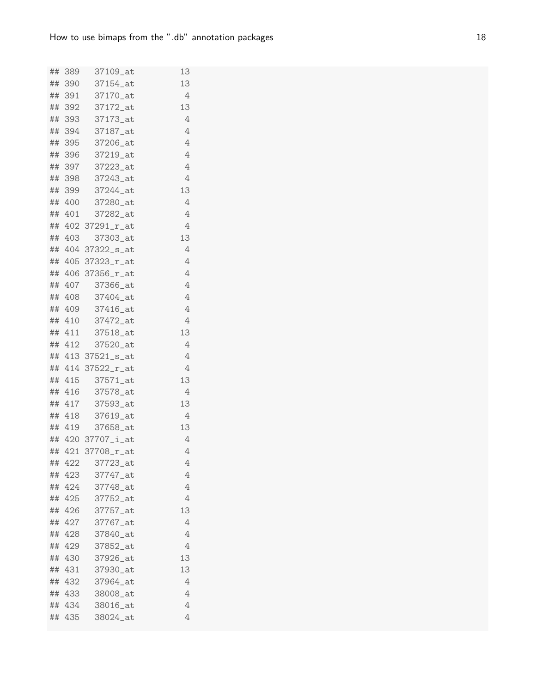| 13<br>## 390<br>37154_at<br>4<br>## 391<br>37170_at<br>13<br>## 392<br>37172_at<br>4<br>393<br>37173 at<br>##<br>4<br>394<br>37187_at<br>##<br>4<br>## 395<br>37206_at<br>4<br>## 396<br>37219_at<br>4<br>## 397 37223_at<br>4<br>37243_at<br>## 398<br>13<br>## 399<br>37244_at<br>4<br>## 400<br>37280_at<br>4<br>## 401<br>37282_at<br>## 402 37291_r_at<br>4<br>13<br>## 403<br>37303_at<br>4<br>## 404 37322_s_at<br>4<br>## 405 37323_r_at<br>## 406 37356_r_at<br>4<br>4<br>## 407<br>37366_at<br>4<br>## 408 37404_at<br>4<br>## 409<br>37416_at<br>4<br>## 410<br>37472_at<br>37518_at<br>13<br>## 411<br>4<br>## 412<br>37520_at<br>4<br>## 413 37521_s_at<br>## 414 37522_r_at<br>4<br>## 415<br>37571_at<br>13<br>416<br>37578_at<br>4<br>##<br>13<br>## 417<br>37593_at<br>4<br>## 418<br>37619_at<br>13<br>## 419<br>37658_at<br>4<br>## 420 37707_i_at<br>4<br>## 421 37708_r_at<br>4<br>##<br>422<br>37723_at<br>## 423<br>37747_at<br>4<br>4<br>424<br>37748_at<br>##<br>37752_at<br>## 425<br>4<br>37757_at<br>13<br>##<br>426<br>427<br>37767_at<br>4<br>##<br>4<br>428<br>37840_at<br>##<br>429<br>37852_at<br>4<br>##<br>13<br>430<br>37926_at<br>##<br>431<br>37930_at<br>13<br>##<br>432<br>37964_at<br>4<br>##<br>4<br>38008_at<br>## 433<br>38016_at<br>4<br>## 434<br>4<br>##<br>435<br>38024_at |  | ## 389 37109_at | 13 |
|----------------------------------------------------------------------------------------------------------------------------------------------------------------------------------------------------------------------------------------------------------------------------------------------------------------------------------------------------------------------------------------------------------------------------------------------------------------------------------------------------------------------------------------------------------------------------------------------------------------------------------------------------------------------------------------------------------------------------------------------------------------------------------------------------------------------------------------------------------------------------------------------------------------------------------------------------------------------------------------------------------------------------------------------------------------------------------------------------------------------------------------------------------------------------------------------------------------------------------------------------------------------------------------------------------------------------|--|-----------------|----|
|                                                                                                                                                                                                                                                                                                                                                                                                                                                                                                                                                                                                                                                                                                                                                                                                                                                                                                                                                                                                                                                                                                                                                                                                                                                                                                                            |  |                 |    |
|                                                                                                                                                                                                                                                                                                                                                                                                                                                                                                                                                                                                                                                                                                                                                                                                                                                                                                                                                                                                                                                                                                                                                                                                                                                                                                                            |  |                 |    |
|                                                                                                                                                                                                                                                                                                                                                                                                                                                                                                                                                                                                                                                                                                                                                                                                                                                                                                                                                                                                                                                                                                                                                                                                                                                                                                                            |  |                 |    |
|                                                                                                                                                                                                                                                                                                                                                                                                                                                                                                                                                                                                                                                                                                                                                                                                                                                                                                                                                                                                                                                                                                                                                                                                                                                                                                                            |  |                 |    |
|                                                                                                                                                                                                                                                                                                                                                                                                                                                                                                                                                                                                                                                                                                                                                                                                                                                                                                                                                                                                                                                                                                                                                                                                                                                                                                                            |  |                 |    |
|                                                                                                                                                                                                                                                                                                                                                                                                                                                                                                                                                                                                                                                                                                                                                                                                                                                                                                                                                                                                                                                                                                                                                                                                                                                                                                                            |  |                 |    |
|                                                                                                                                                                                                                                                                                                                                                                                                                                                                                                                                                                                                                                                                                                                                                                                                                                                                                                                                                                                                                                                                                                                                                                                                                                                                                                                            |  |                 |    |
|                                                                                                                                                                                                                                                                                                                                                                                                                                                                                                                                                                                                                                                                                                                                                                                                                                                                                                                                                                                                                                                                                                                                                                                                                                                                                                                            |  |                 |    |
|                                                                                                                                                                                                                                                                                                                                                                                                                                                                                                                                                                                                                                                                                                                                                                                                                                                                                                                                                                                                                                                                                                                                                                                                                                                                                                                            |  |                 |    |
|                                                                                                                                                                                                                                                                                                                                                                                                                                                                                                                                                                                                                                                                                                                                                                                                                                                                                                                                                                                                                                                                                                                                                                                                                                                                                                                            |  |                 |    |
|                                                                                                                                                                                                                                                                                                                                                                                                                                                                                                                                                                                                                                                                                                                                                                                                                                                                                                                                                                                                                                                                                                                                                                                                                                                                                                                            |  |                 |    |
|                                                                                                                                                                                                                                                                                                                                                                                                                                                                                                                                                                                                                                                                                                                                                                                                                                                                                                                                                                                                                                                                                                                                                                                                                                                                                                                            |  |                 |    |
|                                                                                                                                                                                                                                                                                                                                                                                                                                                                                                                                                                                                                                                                                                                                                                                                                                                                                                                                                                                                                                                                                                                                                                                                                                                                                                                            |  |                 |    |
|                                                                                                                                                                                                                                                                                                                                                                                                                                                                                                                                                                                                                                                                                                                                                                                                                                                                                                                                                                                                                                                                                                                                                                                                                                                                                                                            |  |                 |    |
|                                                                                                                                                                                                                                                                                                                                                                                                                                                                                                                                                                                                                                                                                                                                                                                                                                                                                                                                                                                                                                                                                                                                                                                                                                                                                                                            |  |                 |    |
|                                                                                                                                                                                                                                                                                                                                                                                                                                                                                                                                                                                                                                                                                                                                                                                                                                                                                                                                                                                                                                                                                                                                                                                                                                                                                                                            |  |                 |    |
|                                                                                                                                                                                                                                                                                                                                                                                                                                                                                                                                                                                                                                                                                                                                                                                                                                                                                                                                                                                                                                                                                                                                                                                                                                                                                                                            |  |                 |    |
|                                                                                                                                                                                                                                                                                                                                                                                                                                                                                                                                                                                                                                                                                                                                                                                                                                                                                                                                                                                                                                                                                                                                                                                                                                                                                                                            |  |                 |    |
|                                                                                                                                                                                                                                                                                                                                                                                                                                                                                                                                                                                                                                                                                                                                                                                                                                                                                                                                                                                                                                                                                                                                                                                                                                                                                                                            |  |                 |    |
|                                                                                                                                                                                                                                                                                                                                                                                                                                                                                                                                                                                                                                                                                                                                                                                                                                                                                                                                                                                                                                                                                                                                                                                                                                                                                                                            |  |                 |    |
|                                                                                                                                                                                                                                                                                                                                                                                                                                                                                                                                                                                                                                                                                                                                                                                                                                                                                                                                                                                                                                                                                                                                                                                                                                                                                                                            |  |                 |    |
|                                                                                                                                                                                                                                                                                                                                                                                                                                                                                                                                                                                                                                                                                                                                                                                                                                                                                                                                                                                                                                                                                                                                                                                                                                                                                                                            |  |                 |    |
|                                                                                                                                                                                                                                                                                                                                                                                                                                                                                                                                                                                                                                                                                                                                                                                                                                                                                                                                                                                                                                                                                                                                                                                                                                                                                                                            |  |                 |    |
|                                                                                                                                                                                                                                                                                                                                                                                                                                                                                                                                                                                                                                                                                                                                                                                                                                                                                                                                                                                                                                                                                                                                                                                                                                                                                                                            |  |                 |    |
|                                                                                                                                                                                                                                                                                                                                                                                                                                                                                                                                                                                                                                                                                                                                                                                                                                                                                                                                                                                                                                                                                                                                                                                                                                                                                                                            |  |                 |    |
|                                                                                                                                                                                                                                                                                                                                                                                                                                                                                                                                                                                                                                                                                                                                                                                                                                                                                                                                                                                                                                                                                                                                                                                                                                                                                                                            |  |                 |    |
|                                                                                                                                                                                                                                                                                                                                                                                                                                                                                                                                                                                                                                                                                                                                                                                                                                                                                                                                                                                                                                                                                                                                                                                                                                                                                                                            |  |                 |    |
|                                                                                                                                                                                                                                                                                                                                                                                                                                                                                                                                                                                                                                                                                                                                                                                                                                                                                                                                                                                                                                                                                                                                                                                                                                                                                                                            |  |                 |    |
|                                                                                                                                                                                                                                                                                                                                                                                                                                                                                                                                                                                                                                                                                                                                                                                                                                                                                                                                                                                                                                                                                                                                                                                                                                                                                                                            |  |                 |    |
|                                                                                                                                                                                                                                                                                                                                                                                                                                                                                                                                                                                                                                                                                                                                                                                                                                                                                                                                                                                                                                                                                                                                                                                                                                                                                                                            |  |                 |    |
|                                                                                                                                                                                                                                                                                                                                                                                                                                                                                                                                                                                                                                                                                                                                                                                                                                                                                                                                                                                                                                                                                                                                                                                                                                                                                                                            |  |                 |    |
|                                                                                                                                                                                                                                                                                                                                                                                                                                                                                                                                                                                                                                                                                                                                                                                                                                                                                                                                                                                                                                                                                                                                                                                                                                                                                                                            |  |                 |    |
|                                                                                                                                                                                                                                                                                                                                                                                                                                                                                                                                                                                                                                                                                                                                                                                                                                                                                                                                                                                                                                                                                                                                                                                                                                                                                                                            |  |                 |    |
|                                                                                                                                                                                                                                                                                                                                                                                                                                                                                                                                                                                                                                                                                                                                                                                                                                                                                                                                                                                                                                                                                                                                                                                                                                                                                                                            |  |                 |    |
|                                                                                                                                                                                                                                                                                                                                                                                                                                                                                                                                                                                                                                                                                                                                                                                                                                                                                                                                                                                                                                                                                                                                                                                                                                                                                                                            |  |                 |    |
|                                                                                                                                                                                                                                                                                                                                                                                                                                                                                                                                                                                                                                                                                                                                                                                                                                                                                                                                                                                                                                                                                                                                                                                                                                                                                                                            |  |                 |    |
|                                                                                                                                                                                                                                                                                                                                                                                                                                                                                                                                                                                                                                                                                                                                                                                                                                                                                                                                                                                                                                                                                                                                                                                                                                                                                                                            |  |                 |    |
|                                                                                                                                                                                                                                                                                                                                                                                                                                                                                                                                                                                                                                                                                                                                                                                                                                                                                                                                                                                                                                                                                                                                                                                                                                                                                                                            |  |                 |    |
|                                                                                                                                                                                                                                                                                                                                                                                                                                                                                                                                                                                                                                                                                                                                                                                                                                                                                                                                                                                                                                                                                                                                                                                                                                                                                                                            |  |                 |    |
|                                                                                                                                                                                                                                                                                                                                                                                                                                                                                                                                                                                                                                                                                                                                                                                                                                                                                                                                                                                                                                                                                                                                                                                                                                                                                                                            |  |                 |    |
|                                                                                                                                                                                                                                                                                                                                                                                                                                                                                                                                                                                                                                                                                                                                                                                                                                                                                                                                                                                                                                                                                                                                                                                                                                                                                                                            |  |                 |    |
|                                                                                                                                                                                                                                                                                                                                                                                                                                                                                                                                                                                                                                                                                                                                                                                                                                                                                                                                                                                                                                                                                                                                                                                                                                                                                                                            |  |                 |    |
|                                                                                                                                                                                                                                                                                                                                                                                                                                                                                                                                                                                                                                                                                                                                                                                                                                                                                                                                                                                                                                                                                                                                                                                                                                                                                                                            |  |                 |    |
|                                                                                                                                                                                                                                                                                                                                                                                                                                                                                                                                                                                                                                                                                                                                                                                                                                                                                                                                                                                                                                                                                                                                                                                                                                                                                                                            |  |                 |    |
|                                                                                                                                                                                                                                                                                                                                                                                                                                                                                                                                                                                                                                                                                                                                                                                                                                                                                                                                                                                                                                                                                                                                                                                                                                                                                                                            |  |                 |    |
|                                                                                                                                                                                                                                                                                                                                                                                                                                                                                                                                                                                                                                                                                                                                                                                                                                                                                                                                                                                                                                                                                                                                                                                                                                                                                                                            |  |                 |    |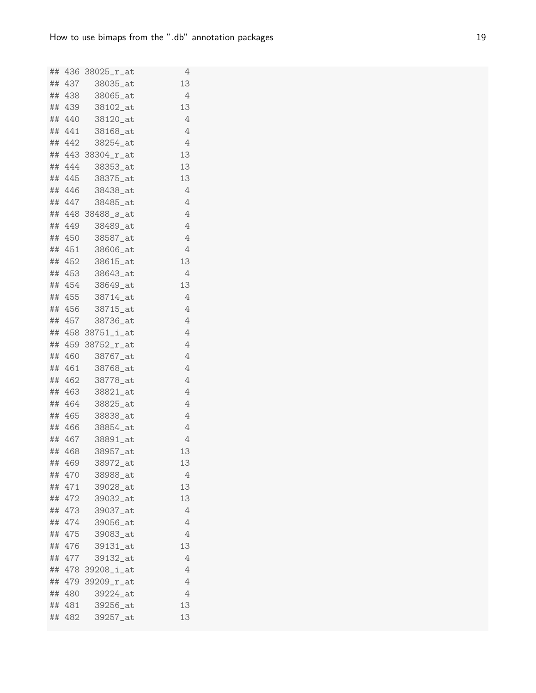|    |                  | ## 436 38025_r_at    | 4      |
|----|------------------|----------------------|--------|
|    |                  | ## 437 38035_at      | 13     |
|    | ## 438           | 38065_at             | 4      |
|    |                  | ## 439 38102_at      | 13     |
|    |                  | ## 440 38120_at      | 4      |
|    | ## 441           | 38168_at             | 4      |
|    | ## 442           | 38254_at             | 4      |
|    |                  | ## 443 38304_r_at    | 13     |
|    |                  | ## 444 38353_at      | 13     |
|    | ## 445           | 38375_at             | 13     |
|    | ## 446           | 38438_at             | 4      |
|    |                  | ## 447 38485_at      | 4      |
|    |                  | ## 448 38488_s_at    | 4      |
|    |                  | ## 449 38489_at      | 4      |
|    | ## 450           | 38587_at             | 4      |
|    |                  | ## 451 38606_at      | 4      |
|    |                  | ## 452 38615_at      | 13     |
|    | ## 453           | 38643_at             | 4      |
|    |                  | ## 454 38649_at      | 13     |
|    |                  | ## 455 38714_at      | 4      |
|    |                  | ## 456 38715_at      | 4      |
|    | ## 457           | 38736_at             | 4      |
|    |                  | ## 458 38751_i_at    | 4      |
|    |                  | ## 459 38752_r_at    | 4      |
|    |                  | ## 460 38767_at      | 4      |
|    | ## 461           | 38768_at             | 4      |
|    |                  | ## 462 38778_at      | 4      |
|    |                  | ## 463 38821_at      | 4      |
|    |                  | ## 464 38825_at      | 4      |
|    | ## 465           | 38838_at             | 4      |
|    |                  | ## 466 38854_at      | 4      |
|    |                  | ## 467 38891_at      | 4      |
|    |                  | ## 468 38957_at      | 13     |
|    | ## 469           | 38972_at             | 13     |
|    | ## 470           | 38988_at             | 4      |
|    | ## 471           | 39028_at             | 13     |
|    | ## 472           | 39032_at             | 13     |
|    | ## 473<br>## 474 | 39037_at<br>39056_at | 4<br>4 |
|    | ## 475           | 39083_at             | 4      |
| ## | 476              | 39131_at             | 13     |
|    | ## 477           | 39132_at             | 4      |
|    |                  | ## 478 39208_i_at    | 4      |
|    |                  | ## 479 39209_r_at    | 4      |
|    | ## 480           | 39224_at             | 4      |
|    | ## 481           | 39256_at             | 13     |
|    | ## 482           | 39257_at             | 13     |
|    |                  |                      |        |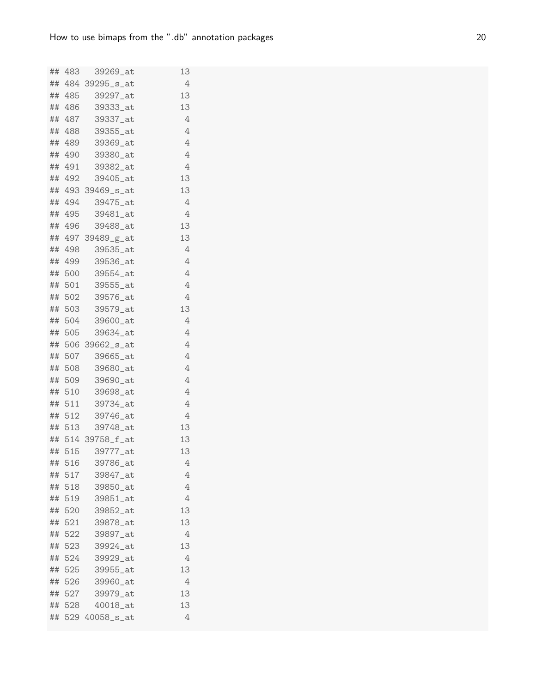|    |        | ## 483 39269_at                      | 13       |
|----|--------|--------------------------------------|----------|
|    |        | ## 484 39295_s_at                    | 4        |
|    | ## 485 | 39297_at                             | 13       |
|    |        | ## 486 39333_at                      | 13       |
|    |        | ## 487 39337_at                      | 4        |
|    |        | ## 488 39355_at                      | 4        |
|    |        | ## 489 39369_at                      | 4        |
|    |        | ## 490 39380_at                      | 4        |
|    |        | ## 491 39382_at                      | 4        |
|    | ## 492 | 39405_at                             | 13       |
|    |        | ## 493 39469_s_at                    | 13       |
|    |        | ## 494 39475_at                      | 4        |
|    |        | ## 495 39481_at                      | 4        |
|    | ## 496 | 39488_at                             | 13       |
|    |        | ## 497 39489_g_at                    | 13       |
|    |        | ## 498 39535_at                      | 4        |
|    |        | ## 499 39536_at                      | $\rm 4$  |
|    | ## 500 | 39554_at                             | 4        |
|    |        | ## 501 39555_at                      | 4        |
|    |        | ## 502 39576_at                      | 4        |
|    |        | ## 503 39579_at                      | 13       |
|    | ## 504 | 39600_at                             | 4        |
|    | ## 505 | 39634_at                             | 4        |
|    |        | ## 506 39662_s_at                    | 4        |
|    |        | ## 507 39665_at                      | 4        |
|    | ## 508 | 39680_at                             | 4        |
|    |        | ## 509 39690_at                      | 4        |
|    |        | ## 510 39698_at                      | 4        |
|    |        | ## 511 39734_at                      | 4        |
|    | ## 512 | 39746_at                             | 4        |
|    | ## 513 | 39748_at                             | 13<br>13 |
|    |        | ## 514 39758_f_at<br>## 515 39777_at | 13       |
|    | ## 516 | 39786_at                             | 4        |
|    | ## 517 | 39847_at                             | 4        |
|    | ## 518 | 39850_at                             | 4        |
|    | ## 519 | 39851_at                             | 4        |
|    | ## 520 | 39852_at                             | 13       |
|    | ## 521 | 39878_at                             | 13       |
| ## | 522    | 39897_at                             | 4        |
| ## | 523    | 39924_at                             | 13       |
| ## | 524    | 39929_at                             | 4        |
|    | ## 525 | 39955_at                             | 13       |
|    | ## 526 | 39960_at                             | 4        |
|    | ## 527 | 39979_at                             | 13       |
|    | ## 528 | 40018_at                             | 13       |
|    |        | ## 529 40058_s_at                    | 4        |
|    |        |                                      |          |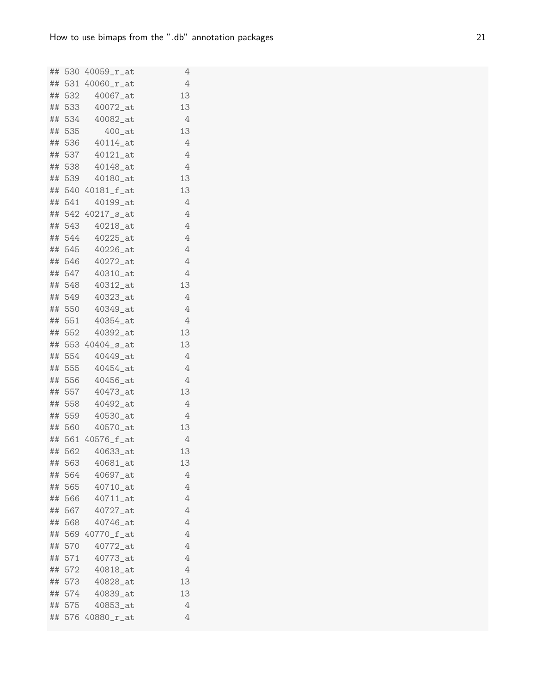|    |        | ## 530 40059_r_at      | 4              |
|----|--------|------------------------|----------------|
|    |        | ## 531 40060_r_at      | 4              |
|    | ## 532 | 40067_at               | 13             |
|    |        | ## 533 40072_at        | 13             |
|    |        | ## 534 40082_at        | 4              |
|    | ## 535 | $400$ _at              | 13             |
|    |        | ## 536 40114_at        | 4              |
|    |        | ## 537 40121_at        | 4              |
|    |        | ## 538 40148_at        | 4              |
|    |        | ## 539 40180_at        | 13             |
|    |        | ## 540 40181_f_at      | 13             |
|    | ## 541 | 40199_at               | 4              |
|    |        | ## 542 40217_s_at      | 4              |
|    | ## 543 | 40218_at               | 4              |
|    | ## 544 | $40225$ _at            | 4              |
|    |        | ## 545 40226_at        | $\overline{4}$ |
|    |        | ## 546 40272_at        | 4              |
|    |        | ## 547  40310_at       | 4              |
|    |        | ## 548 40312_at        | 13             |
|    |        | ## 549 40323_at        | 4              |
|    |        | ## 550 40349_at        | 4              |
|    |        | ## 551 40354_at        | 4              |
|    | ## 552 | 40392_at               | 13             |
|    |        | ## 553 40404_s_at      | 13             |
|    |        | ## 554 40449_at        | 4              |
|    | ## 555 | $40454$ <sub>-at</sub> | 4              |
|    |        | ## 556 40456_at        | 4              |
|    |        | ## 557 40473_at        | 13             |
|    |        | ## 558 40492_at        | 4              |
|    | ## 559 | 40530_at               | 4              |
|    | ## 560 | $40570$ _at            | 13             |
|    |        | ## 561 40576_f_at      | 4              |
|    |        | ## 562 40633_at        | 13             |
|    | ## 563 | 40681_at               | 13             |
|    | ## 564 | 40697_at               | 4              |
|    | ## 565 | 40710_at               | 4              |
|    | ## 566 | 40711_at               | 4              |
|    | ## 567 | $40727$ _at            | 4              |
|    | ## 568 | 40746_at               | 4              |
|    |        | ## 569 40770_f_at      | 4              |
| ## | 570    | 40772_at               | 4              |
|    | ## 571 | 40773_at               | 4              |
|    | ## 572 | 40818_at               | 4              |
|    | ## 573 | 40828_at               | 13             |
|    | ## 574 | 40839_at               | 13             |
|    | ## 575 | 40853_at               | 4              |
|    |        | ## 576 40880_r_at      | 4              |
|    |        |                        |                |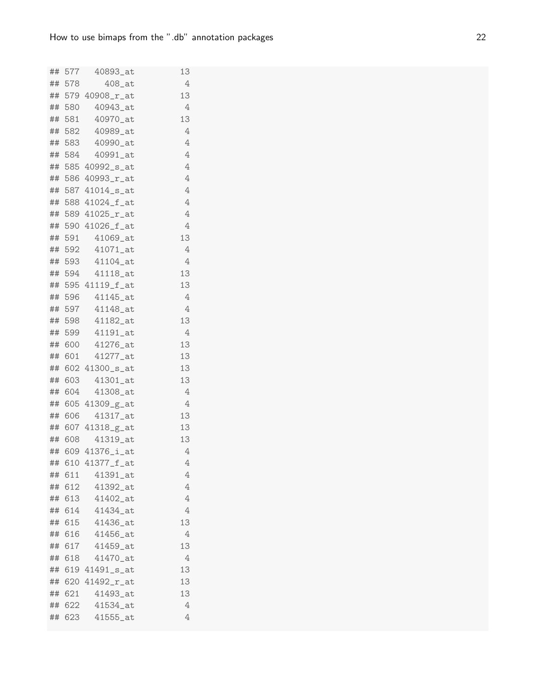|    |        | ## 577 40893_at               | 13             |
|----|--------|-------------------------------|----------------|
|    | ## 578 | $408$ <sub>-at</sub>          | 4              |
|    |        | ## 579 40908_r_at             | 13             |
|    | ## 580 | 40943_at                      | 4              |
|    |        | ## 581 40970_at               | 13             |
|    |        | ## 582 40989_at               | 4              |
|    | ## 583 | 40990_at                      | 4              |
|    | ## 584 | $40991$ _at                   | 4              |
|    |        | ## 585 40992_s_at             | $\overline{4}$ |
|    |        | ## 586 40993_r_at             | $\overline{4}$ |
|    |        | ## 587 41014_s_at             | 4              |
|    |        | ## 588 41024_f_at             | 4              |
|    |        | ## 589 41025_r_at             | $\overline{4}$ |
|    |        | ## 590 41026_f_at             | 4              |
|    | ## 591 | $41069$ <sub>-at</sub>        | 13             |
|    |        | ## 592 41071_at               | 4              |
|    |        | ## 593 41104_at               | 4              |
|    |        | ## 594 41118_at               | 13             |
|    |        | ## 595 41119_f_at             | 13             |
|    |        | ## 596 41145_at               | 4              |
|    |        | ## 597 41148_at               | 4              |
|    |        | ## 598 41182_at               | 13             |
|    |        | ## 599 41191_at               | 4              |
|    |        | ## 600 41276_at               | 13             |
|    |        | ## 601 41277_at               | 13             |
|    |        | ## 602 41300_s_at             | 13             |
|    | ## 603 | 41301_at                      | 13             |
|    |        | ## 604 41308_at               | $\overline{4}$ |
|    | ## 606 | ## 605 41309_g_at<br>41317_at | 4<br>13        |
|    |        | ## 607 41318_g_at             | 13             |
|    | ## 608 | 41319_at                      | 13             |
|    |        | ## 609 41376_i_at             | 4              |
| ## |        | 610 41377_f_at                | 4              |
|    | ## 611 | 41391_at                      | 4              |
| ## | 612    | 41392_at                      | 4              |
|    | ## 613 | 41402_at                      | 4              |
|    | ## 614 | 41434_at                      | 4              |
|    | ## 615 | 41436_at                      | 13             |
| ## | 616    | 41456_at                      | 4              |
| ## | 617    | 41459_at                      | 13             |
| ## | 618    | 41470_at                      | 4              |
| ## |        | 619 41491_s_at                | 13             |
| ## |        | 620 41492_r_at                | 13             |
|    | ## 621 | 41493_at                      | 13             |
|    | ## 622 | 41534_at                      | 4              |
| ## | 623    | 41555_at                      | 4              |
|    |        |                               |                |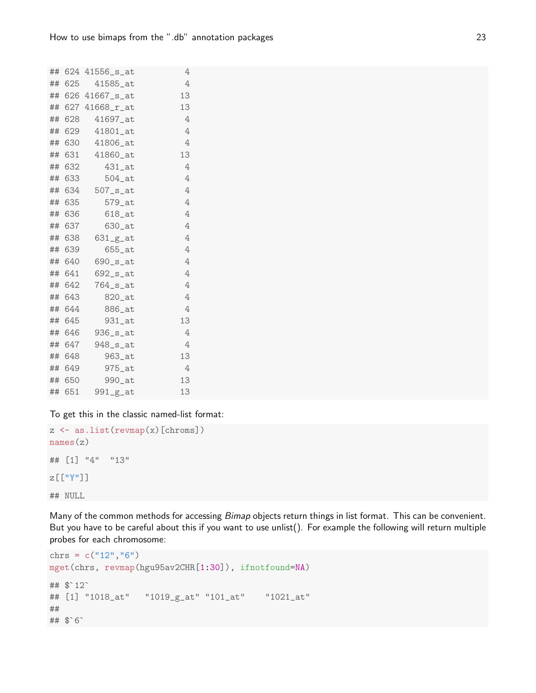|    |        | ## 624 41556_s_at       | 4  |
|----|--------|-------------------------|----|
|    |        | ## 625 41585_at         | 4  |
|    |        | ## 626 41667_s_at       | 13 |
|    |        | ## 627 41668_r_at       | 13 |
|    | ## 628 | 41697_at                | 4  |
| ## | 629    | 41801_at                | 4  |
|    |        | ## 630 41806_at         | 4  |
|    | ## 631 | 41860_at                | 13 |
| ## | 632    | 431_at                  | 4  |
|    | ## 633 | $504$ _at               | 4  |
|    | ## 634 | $507$ _ $s$ _at         | 4  |
| ## | 635    | $579$ _at               | 4  |
|    | ## 636 | 618_at                  | 4  |
|    | ## 637 | $630$ _at               | 4  |
|    | ## 638 | $631-g$ <sub>-</sub> at | 4  |
|    | ## 639 | 655_at                  | 4  |
|    | ## 640 | $690$ _s_at             | 4  |
|    | ## 641 | $692$ _ $s$ _at         | 4  |
| ## | 642    | $764$ _s_at             | 4  |
|    | ## 643 | 820_at                  | 4  |
|    | ## 644 | 886_at                  | 4  |
| ## | 645    | 931_at                  | 13 |
|    | ## 646 | $936$ $s$ $at$          | 4  |
|    | ## 647 | $948$ _s_at             | 4  |
|    | ## 648 | 963_at                  | 13 |
|    | ## 649 | $975$ <sub>-at</sub>    | 4  |
|    | ## 650 | 990_at                  | 13 |
|    | ## 651 | $991-g-at$              | 13 |

To get this in the classic named-list format:

```
z \leftarrow as.list(revmap(x)[chroms])names(z)
## [1] "4" "13"
z[["Y"]]
## NULL
```
Many of the common methods for accessing Bimap objects return things in list format. This can be convenient. But you have to be careful about this if you want to use unlist(). For example the following will return multiple probes for each chromosome:

```
chrs = c("12", "6")mget(chrs, revmap(hgu95av2CHR[1:30]), ifnotfound=NA)
## $`12`
## [1] "1018_at" "1019_g_at" "101_at" "1021_at"
##
## $`6`
```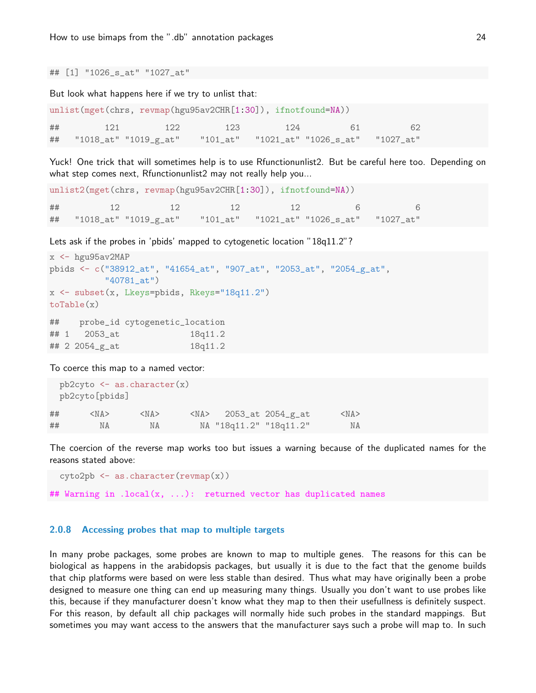## [1] "1026\_s\_at" "1027\_at"

But look what happens here if we try to unlist that:

|    | unlist(mget(chrs, revmap(hgu95av2CHR[1:30]), ifnotfound=NA))      |     |     |     |    |    |
|----|-------------------------------------------------------------------|-----|-----|-----|----|----|
| ## | 121                                                               | 122 | 123 | 124 | 61 | 62 |
|    | ## "1018_at" "1019_g_at" "101_at" "1021_at" "1026_s_at" "1027_at" |     |     |     |    |    |

Yuck! One trick that will sometimes help is to use Rfunctionunlist2. But be careful here too. Depending on what step comes next, Rfunctionunlist2 may not really help you...

```
unlist2(mget(chrs, revmap(hgu95av2CHR[1:30]), ifnotfound=NA))
## 12 12 12 12 6 6
## "1018_at" "1019_g_at" "101_at" "1021_at" "1026_s_at" "1027_at"
```
Lets ask if the probes in 'pbids' mapped to cytogenetic location "18q11.2"?

```
x \leftarrow hgu95av2MAP
pbids <- c("38912_at", "41654_at", "907_at", "2053_at", "2054_g_at",
          "40781_at")
x <- subset(x, Lkeys=pbids, Rkeys="18q11.2")
toTable(x)
## probe_id cytogenetic_location
## 1 2053_at 18q11.2
## 2 2054_g_at 18q11.2
```
To coerce this map to a named vector:

```
pb2cyto \leftarrow as.daracter(x)pb2cyto[pbids]
## <NA> <NA> <NA> 2053_at 2054_g_at <NA>
## NA NA NA "18q11.2" "18q11.2" NA
```
The coercion of the reverse map works too but issues a warning because of the duplicated names for the reasons stated above:

```
cyto2pb \leftarrow as.daracter(revmap(x))
```
## Warning in .local(x, ...): returned vector has duplicated names

# 2.0.8 Accessing probes that map to multiple targets

In many probe packages, some probes are known to map to multiple genes. The reasons for this can be biological as happens in the arabidopsis packages, but usually it is due to the fact that the genome builds that chip platforms were based on were less stable than desired. Thus what may have originally been a probe designed to measure one thing can end up measuring many things. Usually you don't want to use probes like this, because if they manufacturer doesn't know what they map to then their usefullness is definitely suspect. For this reason, by default all chip packages will normally hide such probes in the standard mappings. But sometimes you may want access to the answers that the manufacturer says such a probe will map to. In such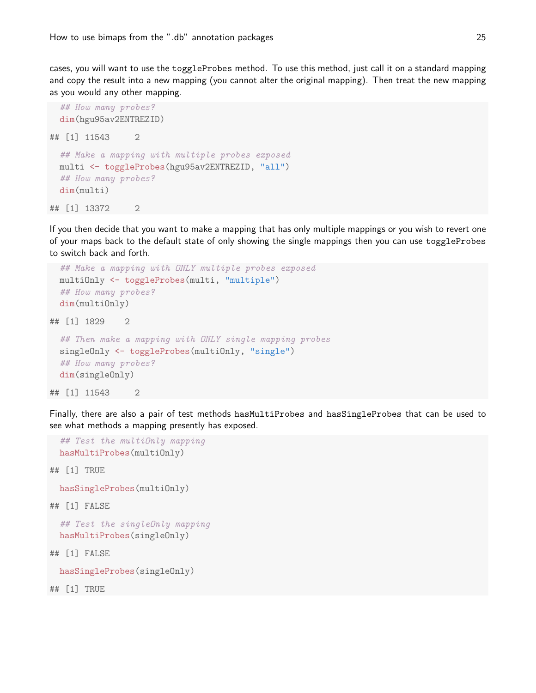cases, you will want to use the toggleProbes method. To use this method, just call it on a standard mapping and copy the result into a new mapping (you cannot alter the original mapping). Then treat the new mapping as you would any other mapping.

```
## How many probes?
 dim(hgu95av2ENTREZID)
## [1] 11543 2
 ## Make a mapping with multiple probes exposed
 multi <- toggleProbes(hgu95av2ENTREZID, "all")
 ## How many probes?
 dim(multi)
## [1] 13372 2
```
If you then decide that you want to make a mapping that has only multiple mappings or you wish to revert one of your maps back to the default state of only showing the single mappings then you can use toggleProbes to switch back and forth.

```
## Make a mapping with ONLY multiple probes exposed
 multiOnly <- toggleProbes(multi, "multiple")
 ## How many probes?
 dim(multiOnly)
## [1] 1829 2
 ## Then make a mapping with ONLY single mapping probes
 singleOnly <- toggleProbes(multiOnly, "single")
 ## How many probes?
 dim(singleOnly)
## [1] 11543 2
```
Finally, there are also a pair of test methods hasMultiProbes and hasSingleProbes that can be used to see what methods a mapping presently has exposed.

```
## Test the multiOnly mapping
hasMultiProbes(multiOnly)
```
## [1] TRUE

hasSingleProbes(multiOnly)

## [1] FALSE

```
## Test the singleOnly mapping
hasMultiProbes(singleOnly)
```
## [1] FALSE

hasSingleProbes(singleOnly)

## [1] TRUE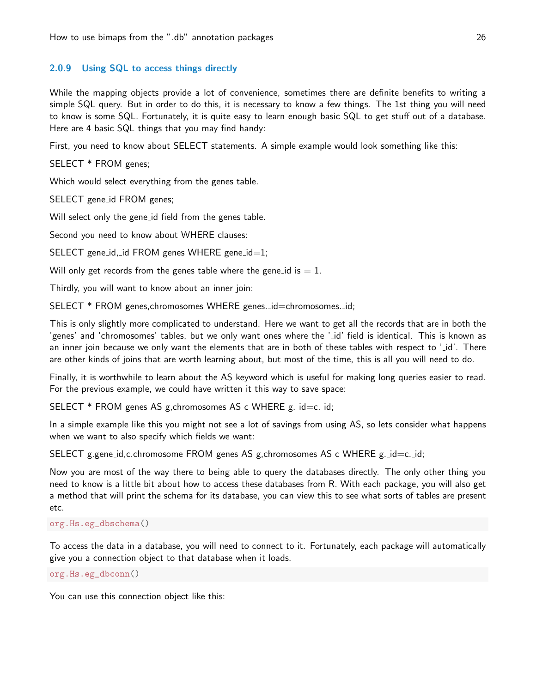# 2.0.9 Using SQL to access things directly

While the mapping objects provide a lot of convenience, sometimes there are definite benefits to writing a simple SQL query. But in order to do this, it is necessary to know a few things. The 1st thing you will need to know is some SQL. Fortunately, it is quite easy to learn enough basic SQL to get stuff out of a database. Here are 4 basic SQL things that you may find handy:

First, you need to know about SELECT statements. A simple example would look something like this:

SELECT \* FROM genes;

Which would select everything from the genes table.

SELECT gene id FROM genes;

Will select only the gene id field from the genes table.

Second you need to know about WHERE clauses:

SELECT gene\_id,\_id FROM genes WHERE gene\_id=1;

Will only get records from the genes table where the gene-id is  $= 1$ .

Thirdly, you will want to know about an inner join:

SELECT \* FROM genes, chromosomes WHERE genes. \_id=chromosomes. \_id;

This is only slightly more complicated to understand. Here we want to get all the records that are in both the 'genes' and 'chromosomes' tables, but we only want ones where the ' id' field is identical. This is known as an inner join because we only want the elements that are in both of these tables with respect to ' id'. There are other kinds of joins that are worth learning about, but most of the time, this is all you will need to do.

Finally, it is worthwhile to learn about the AS keyword which is useful for making long queries easier to read. For the previous example, we could have written it this way to save space:

SELECT \* FROM genes AS g, chromosomes AS c WHERE g. \_id=c. \_id;

In a simple example like this you might not see a lot of savings from using AS, so lets consider what happens when we want to also specify which fields we want:

SELECT g.gene\_id,c.chromosome FROM genes AS g,chromosomes AS c WHERE  $g$ .\_id=c.\_id;

Now you are most of the way there to being able to query the databases directly. The only other thing you need to know is a little bit about how to access these databases from R. With each package, you will also get a method that will print the schema for its database, you can view this to see what sorts of tables are present etc.

org.Hs.eg\_dbschema()

To access the data in a database, you will need to connect to it. Fortunately, each package will automatically give you a connection object to that database when it loads.

org.Hs.eg\_dbconn()

You can use this connection object like this: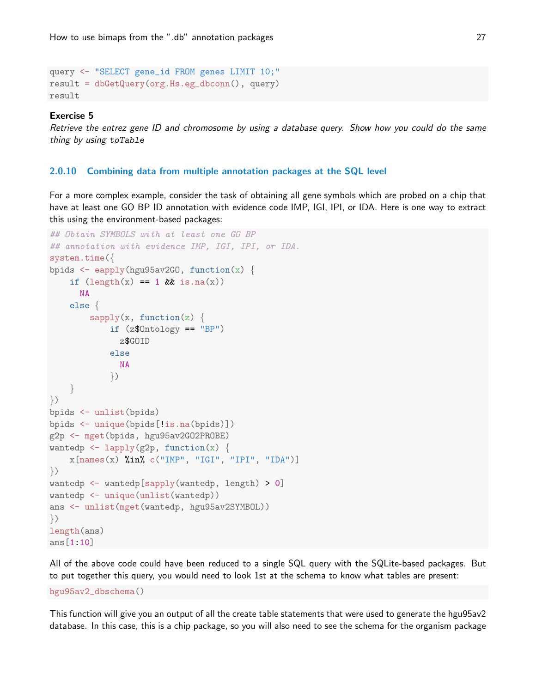```
query <- "SELECT gene_id FROM genes LIMIT 10;"
result = dbGetQuery(org.Hs.eg_dbconn(), query)
result
```
#### Exercise 5

Retrieve the entrez gene ID and chromosome by using a database query. Show how you could do the same thing by using toTable

# 2.0.10 Combining data from multiple annotation packages at the SQL level

For a more complex example, consider the task of obtaining all gene symbols which are probed on a chip that have at least one GO BP ID annotation with evidence code IMP, IGI, IPI, or IDA. Here is one way to extract this using the environment-based packages:

```
## Obtain SYMBOLS with at least one GO BP
## annotation with evidence IMP, IGI, IPI, or IDA.
system.time({
bpids \leq eapply(hgu95av2G0, function(x) {
    if (\text{length}(x)) == 1 && is.na(x))
      NA
    else {
        sapply(x, function(z)if (z$Ontology == "BP")
              z$GOID
            else
              NA
            })
    }
})
bpids <- unlist(bpids)
bpids <- unique(bpids[!is.na(bpids)])
g2p <- mget(bpids, hgu95av2GO2PROBE)
wantedp \leftarrow lapply(g2p, function(x) {
    x[names(x) %in% c("IMP", "IGI", "IPI", "IDA")]})
wantedp <- wantedp[sapply(wantedp, length) > 0]
wantedp <- unique(unlist(wantedp))
ans <- unlist(mget(wantedp, hgu95av2SYMBOL))
})
length(ans)
ans[1:10]
```
All of the above code could have been reduced to a single SQL query with the SQLite-based packages. But to put together this query, you would need to look 1st at the schema to know what tables are present:

hgu95av2\_dbschema()

This function will give you an output of all the create table statements that were used to generate the hgu95av2 database. In this case, this is a chip package, so you will also need to see the schema for the organism package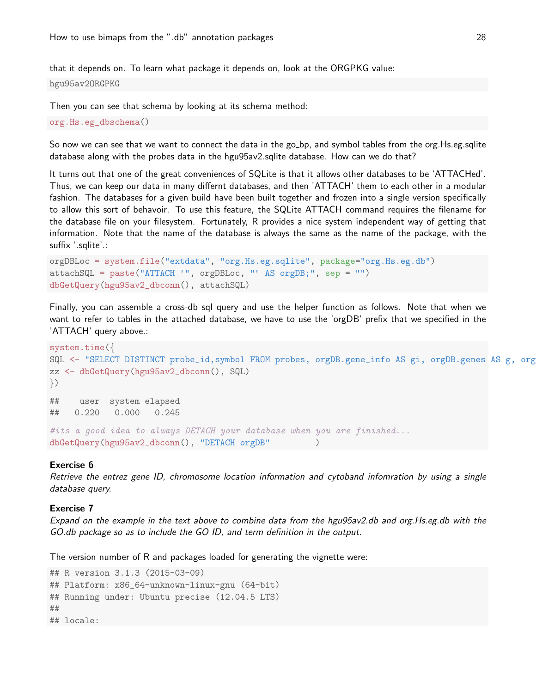that it depends on. To learn what package it depends on, look at the ORGPKG value:

hgu95av2ORGPKG

Then you can see that schema by looking at its schema method:

```
org.Hs.eg_dbschema()
```
So now we can see that we want to connect the data in the go\_bp, and symbol tables from the org. Hs.eg.sqlite database along with the probes data in the hgu95av2.sqlite database. How can we do that?

It turns out that one of the great conveniences of SQLite is that it allows other databases to be 'ATTACHed'. Thus, we can keep our data in many differnt databases, and then 'ATTACH' them to each other in a modular fashion. The databases for a given build have been built together and frozen into a single version specifically to allow this sort of behavoir. To use this feature, the SQLite ATTACH command requires the filename for the database file on your filesystem. Fortunately, R provides a nice system independent way of getting that information. Note that the name of the database is always the same as the name of the package, with the suffix '.sqlite'.:

```
orgDBLoc = system.file("extdata", "org.Hs.eg.sqlite", package="org.Hs.eg.db")
attachSQL = paste("ATTACH '", orgDBLoc, "' AS orgDB;", sep = "")
dbGetQuery(hgu95av2_dbconn(), attachSQL)
```
Finally, you can assemble a cross-db sql query and use the helper function as follows. Note that when we want to refer to tables in the attached database, we have to use the 'orgDB' prefix that we specified in the 'ATTACH' query above.:

```
system.time({
SQL <- "SELECT DISTINCT probe_id, symbol FROM probes, orgDB.gene_info AS gi, orgDB.genes AS g, org
zz <- dbGetQuery(hgu95av2_dbconn(), SQL)
\}## user system elapsed
## 0.220 0.000 0.245
#its a good idea to always DETACH your database when you are finished...
dbGetQuery(hgu95av2_dbconn(), "DETACH orgDB" )
```
#### Exercise 6

Retrieve the entrez gene ID, chromosome location information and cytoband infomration by using a single database query.

# Exercise 7

Expand on the example in the text above to combine data from the hgu95av2.db and org.Hs.eg.db with the GO.db package so as to include the GO ID, and term definition in the output.

The version number of R and packages loaded for generating the vignette were:

```
## R version 3.1.3 (2015-03-09)
## Platform: x86_64-unknown-linux-gnu (64-bit)
## Running under: Ubuntu precise (12.04.5 LTS)
##
## locale:
```